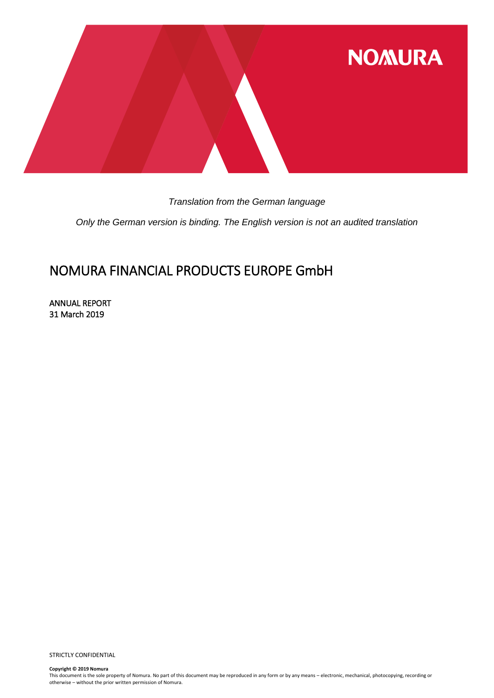

*Translation from the German language*

*Only the German version is binding. The English version is not an audited translation*

# NOMURA FINANCIAL PRODUCTS EUROPE GmbH

ANNUAL REPORT 31 March 2019

STRICTLY CONFIDENTIAL

**Copyright © 2019 Nomura**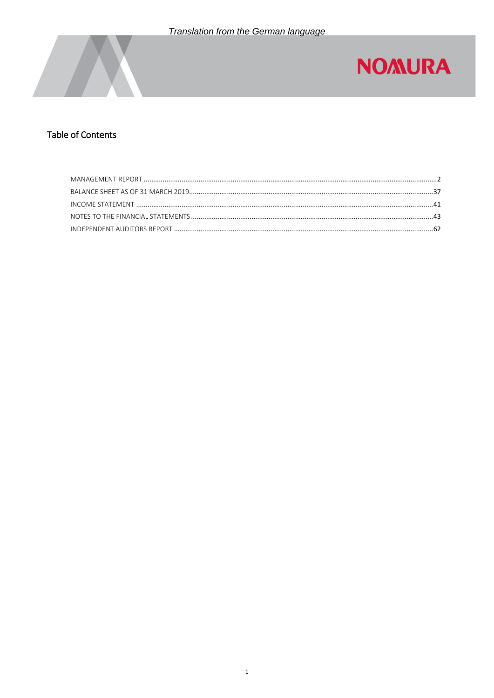

# **Table of Contents**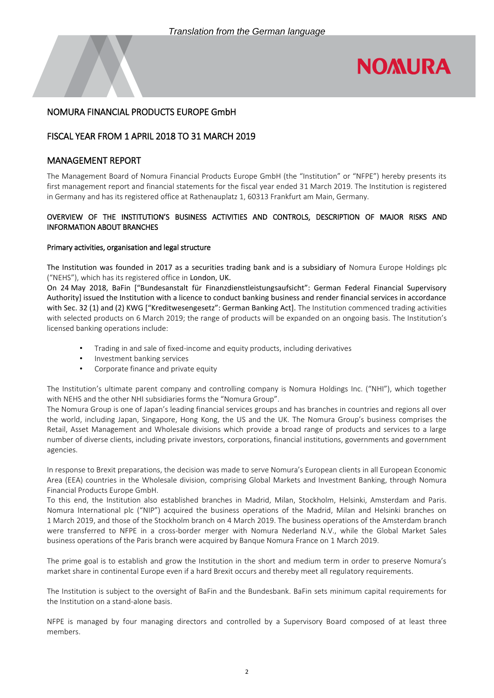#### NOMURA FINANCIAL PRODUCTS EUROPE GmbH

#### FISCAL YEAR FROM 1 APRIL 2018 TO 31 MARCH 2019

#### <span id="page-2-0"></span>MANAGEMENT REPORT

I

The Management Board of Nomura Financial Products Europe GmbH (the "Institution" or "NFPE") hereby presents its first management report and financial statements for the fiscal year ended 31 March 2019. The Institution is registered in Germany and has its registered office at Rathenauplatz 1, 60313 Frankfurt am Main, Germany.

#### OVERVIEW OF THE INSTITUTION'S BUSINESS ACTIVITIES AND CONTROLS, DESCRIPTION OF MAJOR RISKS AND INFORMATION ABOUT BRANCHES

#### Primary activities, organisation and legal structure

The Institution was founded in 2017 as a securities trading bank and is a subsidiary of Nomura Europe Holdings plc ("NEHS"), which has its registered office in London, UK.

On 24 May 2018, BaFin ["Bundesanstalt für Finanzdienstleistungsaufsicht": German Federal Financial Supervisory Authority] issued the Institution with a licence to conduct banking business and render financial services in accordance with Sec. 32 (1) and (2) KWG ["Kreditwesengesetz": German Banking Act]. The Institution commenced trading activities with selected products on 6 March 2019; the range of products will be expanded on an ongoing basis. The Institution's licensed banking operations include:

- Trading in and sale of fixed-income and equity products, including derivatives
- Investment banking services
- Corporate finance and private equity

The Institution's ultimate parent company and controlling company is Nomura Holdings Inc. ("NHI"), which together with NEHS and the other NHI subsidiaries forms the "Nomura Group".

The Nomura Group is one of Japan's leading financial services groups and has branches in countries and regions all over the world, including Japan, Singapore, Hong Kong, the US and the UK. The Nomura Group's business comprises the Retail, Asset Management and Wholesale divisions which provide a broad range of products and services to a large number of diverse clients, including private investors, corporations, financial institutions, governments and government agencies.

In response to Brexit preparations, the decision was made to serve Nomura's European clients in all European Economic Area (EEA) countries in the Wholesale division, comprising Global Markets and Investment Banking, through Nomura Financial Products Europe GmbH.

To this end, the Institution also established branches in Madrid, Milan, Stockholm, Helsinki, Amsterdam and Paris. Nomura International plc ("NIP") acquired the business operations of the Madrid, Milan and Helsinki branches on 1 March 2019, and those of the Stockholm branch on 4 March 2019. The business operations of the Amsterdam branch were transferred to NFPE in a cross-border merger with Nomura Nederland N.V., while the Global Market Sales business operations of the Paris branch were acquired by Banque Nomura France on 1 March 2019.

The prime goal is to establish and grow the Institution in the short and medium term in order to preserve Nomura's market share in continental Europe even if a hard Brexit occurs and thereby meet all regulatory requirements.

The Institution is subject to the oversight of BaFin and the Bundesbank. BaFin sets minimum capital requirements for the Institution on a stand-alone basis.

NFPE is managed by four managing directors and controlled by a Supervisory Board composed of at least three members.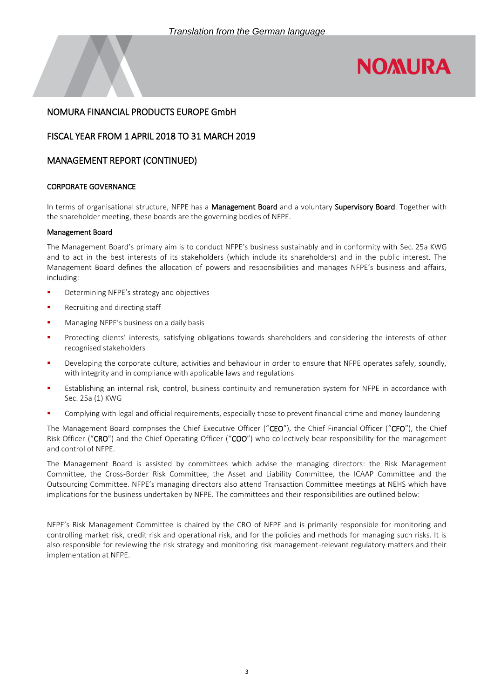### NOMURA FINANCIAL PRODUCTS EUROPE GmbH

## FISCAL YEAR FROM 1 APRIL 2018 TO 31 MARCH 2019

#### MANAGEMENT REPORT (CONTINUED)

#### CORPORATE GOVERNANCE

In terms of organisational structure, NFPE has a Management Board and a voluntary Supervisory Board. Together with the shareholder meeting, these boards are the governing bodies of NFPE.

#### Management Board

I

The Management Board's primary aim is to conduct NFPE's business sustainably and in conformity with Sec. 25a KWG and to act in the best interests of its stakeholders (which include its shareholders) and in the public interest. The Management Board defines the allocation of powers and responsibilities and manages NFPE's business and affairs, including:

- **•** Determining NFPE's strategy and objectives
- **Recruiting and directing staff**
- **Managing NFPE's business on a daily basis**
- Protecting clients' interests, satisfying obligations towards shareholders and considering the interests of other recognised stakeholders
- Developing the corporate culture, activities and behaviour in order to ensure that NFPE operates safely, soundly, with integrity and in compliance with applicable laws and regulations
- Establishing an internal risk, control, business continuity and remuneration system for NFPE in accordance with Sec. 25a (1) KWG
- Complying with legal and official requirements, especially those to prevent financial crime and money laundering

The Management Board comprises the Chief Executive Officer ("CEO"), the Chief Financial Officer ("CFO"), the Chief Risk Officer ("CRO") and the Chief Operating Officer ("COO") who collectively bear responsibility for the management and control of NFPE.

The Management Board is assisted by committees which advise the managing directors: the Risk Management Committee, the Cross-Border Risk Committee, the Asset and Liability Committee, the ICAAP Committee and the Outsourcing Committee. NFPE's managing directors also attend Transaction Committee meetings at NEHS which have implications for the business undertaken by NFPE. The committees and their responsibilities are outlined below:

NFPE's Risk Management Committee is chaired by the CRO of NFPE and is primarily responsible for monitoring and controlling market risk, credit risk and operational risk, and for the policies and methods for managing such risks. It is also responsible for reviewing the risk strategy and monitoring risk management-relevant regulatory matters and their implementation at NFPE.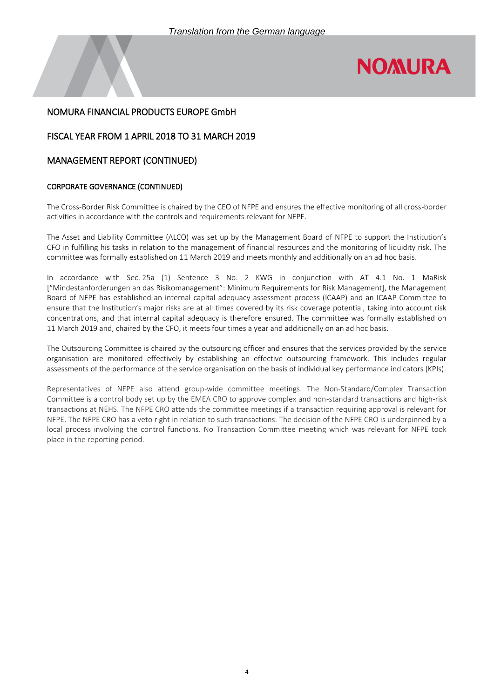### NOMURA FINANCIAL PRODUCTS EUROPE GmbH

## FISCAL YEAR FROM 1 APRIL 2018 TO 31 MARCH 2019

#### MANAGEMENT REPORT (CONTINUED)

#### CORPORATE GOVERNANCE (CONTINUED)

I

The Cross-Border Risk Committee is chaired by the CEO of NFPE and ensures the effective monitoring of all cross-border activities in accordance with the controls and requirements relevant for NFPE.

The Asset and Liability Committee (ALCO) was set up by the Management Board of NFPE to support the Institution's CFO in fulfilling his tasks in relation to the management of financial resources and the monitoring of liquidity risk. The committee was formally established on 11 March 2019 and meets monthly and additionally on an ad hoc basis.

In accordance with Sec. 25a (1) Sentence 3 No. 2 KWG in conjunction with AT 4.1 No. 1 MaRisk ["Mindestanforderungen an das Risikomanagement": Minimum Requirements for Risk Management], the Management Board of NFPE has established an internal capital adequacy assessment process (ICAAP) and an ICAAP Committee to ensure that the Institution's major risks are at all times covered by its risk coverage potential, taking into account risk concentrations, and that internal capital adequacy is therefore ensured. The committee was formally established on 11 March 2019 and, chaired by the CFO, it meets four times a year and additionally on an ad hoc basis.

The Outsourcing Committee is chaired by the outsourcing officer and ensures that the services provided by the service organisation are monitored effectively by establishing an effective outsourcing framework. This includes regular assessments of the performance of the service organisation on the basis of individual key performance indicators (KPIs).

Representatives of NFPE also attend group-wide committee meetings. The Non-Standard/Complex Transaction Committee is a control body set up by the EMEA CRO to approve complex and non-standard transactions and high-risk transactions at NEHS. The NFPE CRO attends the committee meetings if a transaction requiring approval is relevant for NFPE. The NFPE CRO has a veto right in relation to such transactions. The decision of the NFPE CRO is underpinned by a local process involving the control functions. No Transaction Committee meeting which was relevant for NFPE took place in the reporting period.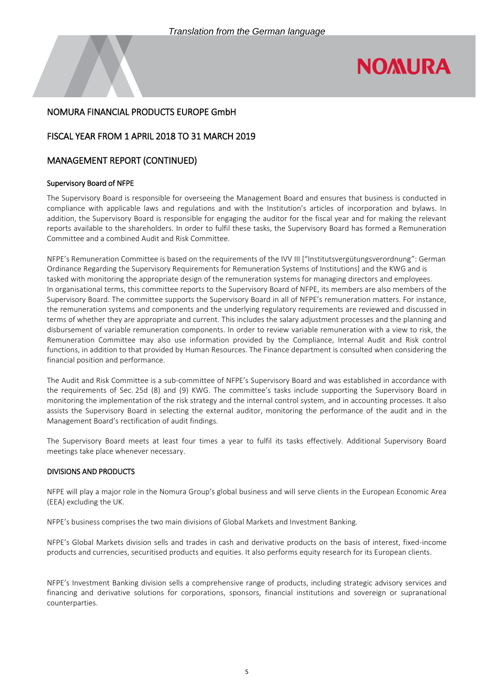## NOMURA FINANCIAL PRODUCTS EUROPE GmbH

### FISCAL YEAR FROM 1 APRIL 2018 TO 31 MARCH 2019

### MANAGEMENT REPORT (CONTINUED)

#### Supervisory Board of NFPE

I

The Supervisory Board is responsible for overseeing the Management Board and ensures that business is conducted in compliance with applicable laws and regulations and with the Institution's articles of incorporation and bylaws. In addition, the Supervisory Board is responsible for engaging the auditor for the fiscal year and for making the relevant reports available to the shareholders. In order to fulfil these tasks, the Supervisory Board has formed a Remuneration Committee and a combined Audit and Risk Committee.

NFPE's Remuneration Committee is based on the requirements of the IVV III ["Institutsvergütungsverordnung": German Ordinance Regarding the Supervisory Requirements for Remuneration Systems of Institutions] and the KWG and is tasked with monitoring the appropriate design of the remuneration systems for managing directors and employees. In organisational terms, this committee reports to the Supervisory Board of NFPE, its members are also members of the Supervisory Board. The committee supports the Supervisory Board in all of NFPE's remuneration matters. For instance, the remuneration systems and components and the underlying regulatory requirements are reviewed and discussed in terms of whether they are appropriate and current. This includes the salary adjustment processes and the planning and disbursement of variable remuneration components. In order to review variable remuneration with a view to risk, the Remuneration Committee may also use information provided by the Compliance, Internal Audit and Risk control functions, in addition to that provided by Human Resources. The Finance department is consulted when considering the financial position and performance.

The Audit and Risk Committee is a sub-committee of NFPE's Supervisory Board and was established in accordance with the requirements of Sec. 25d (8) and (9) KWG. The committee's tasks include supporting the Supervisory Board in monitoring the implementation of the risk strategy and the internal control system, and in accounting processes. It also assists the Supervisory Board in selecting the external auditor, monitoring the performance of the audit and in the Management Board's rectification of audit findings.

The Supervisory Board meets at least four times a year to fulfil its tasks effectively. Additional Supervisory Board meetings take place whenever necessary.

#### DIVISIONS AND PRODUCTS

NFPE will play a major role in the Nomura Group's global business and will serve clients in the European Economic Area (EEA) excluding the UK.

NFPE's business comprises the two main divisions of Global Markets and Investment Banking.

NFPE's Global Markets division sells and trades in cash and derivative products on the basis of interest, fixed-income products and currencies, securitised products and equities. It also performs equity research for its European clients.

NFPE's Investment Banking division sells a comprehensive range of products, including strategic advisory services and financing and derivative solutions for corporations, sponsors, financial institutions and sovereign or supranational counterparties.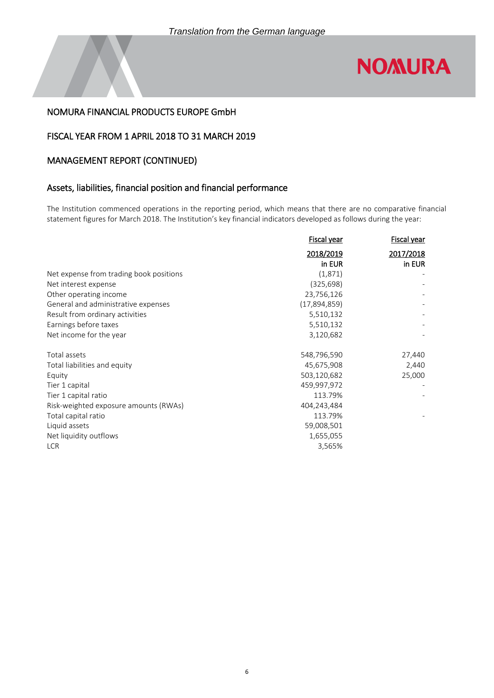### NOMURA FINANCIAL PRODUCTS EUROPE GmbH

## FISCAL YEAR FROM 1 APRIL 2018 TO 31 MARCH 2019

## MANAGEMENT REPORT (CONTINUED)

I

#### Assets, liabilities, financial position and financial performance

The Institution commenced operations in the reporting period, which means that there are no comparative financial statement figures for March 2018. The Institution's key financial indicators developed as follows during the year:

|                                         | <b>Fiscal year</b>  | Fiscal year         |
|-----------------------------------------|---------------------|---------------------|
|                                         | 2018/2019<br>in EUR | 2017/2018<br>in EUR |
| Net expense from trading book positions | (1,871)             |                     |
| Net interest expense                    | (325, 698)          |                     |
| Other operating income                  | 23,756,126          |                     |
| General and administrative expenses     | (17,894,859)        |                     |
| Result from ordinary activities         | 5,510,132           |                     |
| Earnings before taxes                   | 5,510,132           |                     |
| Net income for the year                 | 3,120,682           |                     |
| Total assets                            | 548,796,590         | 27,440              |
| Total liabilities and equity            | 45,675,908          | 2,440               |
| Equity                                  | 503,120,682         | 25,000              |
| Tier 1 capital                          | 459,997,972         |                     |
| Tier 1 capital ratio                    | 113.79%             |                     |
| Risk-weighted exposure amounts (RWAs)   | 404,243,484         |                     |
| Total capital ratio                     | 113.79%             |                     |
| Liquid assets                           | 59,008,501          |                     |
| Net liquidity outflows                  | 1,655,055           |                     |
| <b>LCR</b>                              | 3,565%              |                     |
|                                         |                     |                     |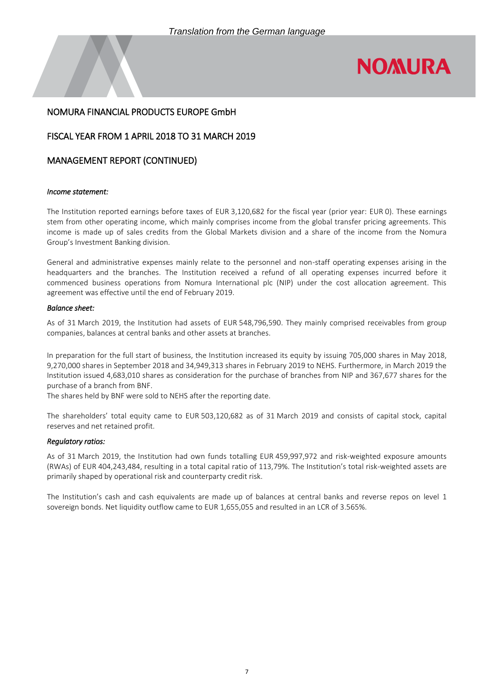### NOMURA FINANCIAL PRODUCTS EUROPE GmbH

## FISCAL YEAR FROM 1 APRIL 2018 TO 31 MARCH 2019

### MANAGEMENT REPORT (CONTINUED)

#### *Income statement:*

I

The Institution reported earnings before taxes of EUR 3,120,682 for the fiscal year (prior year: EUR 0). These earnings stem from other operating income, which mainly comprises income from the global transfer pricing agreements. This income is made up of sales credits from the Global Markets division and a share of the income from the Nomura Group's Investment Banking division.

General and administrative expenses mainly relate to the personnel and non-staff operating expenses arising in the headquarters and the branches. The Institution received a refund of all operating expenses incurred before it commenced business operations from Nomura International plc (NIP) under the cost allocation agreement. This agreement was effective until the end of February 2019.

#### *Balance sheet:*

As of 31 March 2019, the Institution had assets of EUR 548,796,590. They mainly comprised receivables from group companies, balances at central banks and other assets at branches.

In preparation for the full start of business, the Institution increased its equity by issuing 705,000 shares in May 2018, 9,270,000 shares in September 2018 and 34,949,313 shares in February 2019 to NEHS. Furthermore, in March 2019 the Institution issued 4,683,010 shares as consideration for the purchase of branches from NIP and 367,677 shares for the purchase of a branch from BNF.

The shares held by BNF were sold to NEHS after the reporting date.

The shareholders' total equity came to EUR 503,120,682 as of 31 March 2019 and consists of capital stock, capital reserves and net retained profit.

#### *Regulatory ratios:*

As of 31 March 2019, the Institution had own funds totalling EUR 459,997,972 and risk-weighted exposure amounts (RWAs) of EUR 404,243,484, resulting in a total capital ratio of 113,79%. The Institution's total risk-weighted assets are primarily shaped by operational risk and counterparty credit risk.

The Institution's cash and cash equivalents are made up of balances at central banks and reverse repos on level 1 sovereign bonds. Net liquidity outflow came to EUR 1,655,055 and resulted in an LCR of 3.565%.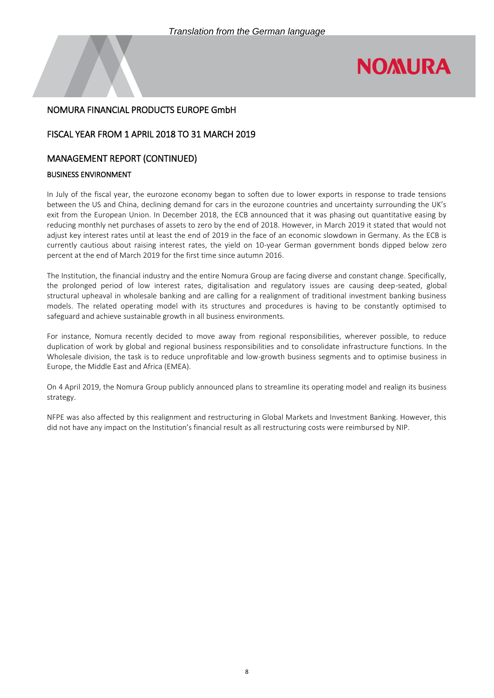#### NOMURA FINANCIAL PRODUCTS EUROPE GmbH

### FISCAL YEAR FROM 1 APRIL 2018 TO 31 MARCH 2019

#### MANAGEMENT REPORT (CONTINUED)

#### BUSINESS ENVIRONMENT

l

In July of the fiscal year, the eurozone economy began to soften due to lower exports in response to trade tensions between the US and China, declining demand for cars in the eurozone countries and uncertainty surrounding the UK's exit from the European Union. In December 2018, the ECB announced that it was phasing out quantitative easing by reducing monthly net purchases of assets to zero by the end of 2018. However, in March 2019 it stated that would not adjust key interest rates until at least the end of 2019 in the face of an economic slowdown in Germany. As the ECB is currently cautious about raising interest rates, the yield on 10-year German government bonds dipped below zero percent at the end of March 2019 for the first time since autumn 2016.

The Institution, the financial industry and the entire Nomura Group are facing diverse and constant change. Specifically, the prolonged period of low interest rates, digitalisation and regulatory issues are causing deep-seated, global structural upheaval in wholesale banking and are calling for a realignment of traditional investment banking business models. The related operating model with its structures and procedures is having to be constantly optimised to safeguard and achieve sustainable growth in all business environments.

For instance, Nomura recently decided to move away from regional responsibilities, wherever possible, to reduce duplication of work by global and regional business responsibilities and to consolidate infrastructure functions. In the Wholesale division, the task is to reduce unprofitable and low-growth business segments and to optimise business in Europe, the Middle East and Africa (EMEA).

On 4 April 2019, the Nomura Group publicly announced plans to streamline its operating model and realign its business strategy.

NFPE was also affected by this realignment and restructuring in Global Markets and Investment Banking. However, this did not have any impact on the Institution's financial result as all restructuring costs were reimbursed by NIP.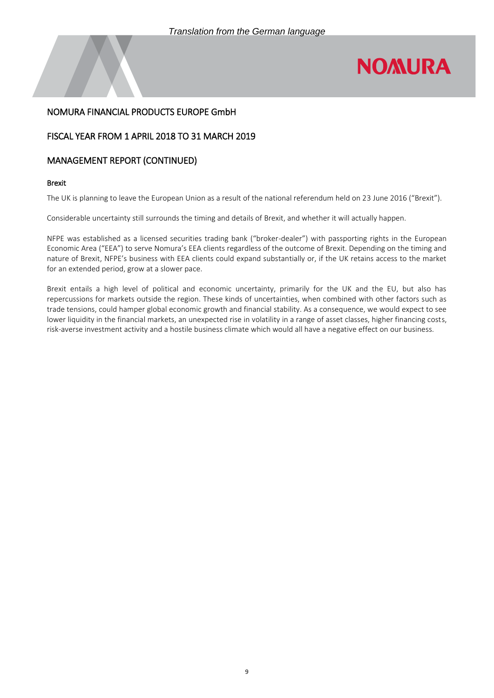## NOMURA FINANCIAL PRODUCTS EUROPE GmbH

## FISCAL YEAR FROM 1 APRIL 2018 TO 31 MARCH 2019

## MANAGEMENT REPORT (CONTINUED)

#### Brexit

I

The UK is planning to leave the European Union as a result of the national referendum held on 23 June 2016 ("Brexit").

Considerable uncertainty still surrounds the timing and details of Brexit, and whether it will actually happen.

NFPE was established as a licensed securities trading bank ("broker-dealer") with passporting rights in the European Economic Area ("EEA") to serve Nomura's EEA clients regardless of the outcome of Brexit. Depending on the timing and nature of Brexit, NFPE's business with EEA clients could expand substantially or, if the UK retains access to the market for an extended period, grow at a slower pace.

Brexit entails a high level of political and economic uncertainty, primarily for the UK and the EU, but also has repercussions for markets outside the region. These kinds of uncertainties, when combined with other factors such as trade tensions, could hamper global economic growth and financial stability. As a consequence, we would expect to see lower liquidity in the financial markets, an unexpected rise in volatility in a range of asset classes, higher financing costs, risk-averse investment activity and a hostile business climate which would all have a negative effect on our business.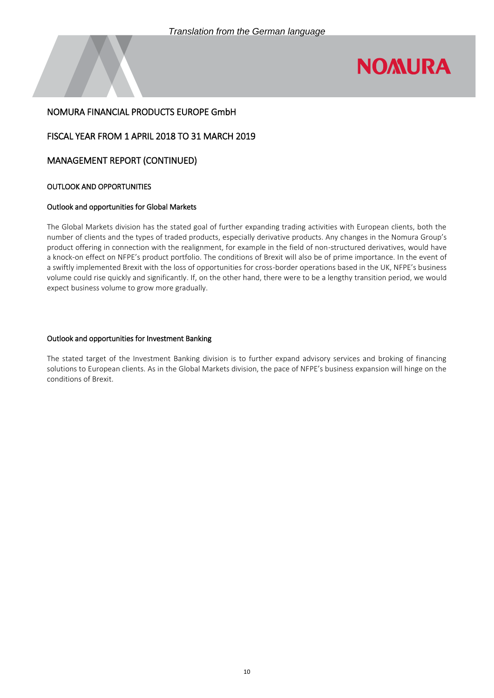#### NOMURA FINANCIAL PRODUCTS EUROPE GmbH

## FISCAL YEAR FROM 1 APRIL 2018 TO 31 MARCH 2019

### MANAGEMENT REPORT (CONTINUED)

#### OUTLOOK AND OPPORTUNITIES

I

#### Outlook and opportunities for Global Markets

The Global Markets division has the stated goal of further expanding trading activities with European clients, both the number of clients and the types of traded products, especially derivative products. Any changes in the Nomura Group's product offering in connection with the realignment, for example in the field of non-structured derivatives, would have a knock-on effect on NFPE's product portfolio. The conditions of Brexit will also be of prime importance. In the event of a swiftly implemented Brexit with the loss of opportunities for cross-border operations based in the UK, NFPE's business volume could rise quickly and significantly. If, on the other hand, there were to be a lengthy transition period, we would expect business volume to grow more gradually.

#### Outlook and opportunities for Investment Banking

The stated target of the Investment Banking division is to further expand advisory services and broking of financing solutions to European clients. As in the Global Markets division, the pace of NFPE's business expansion will hinge on the conditions of Brexit.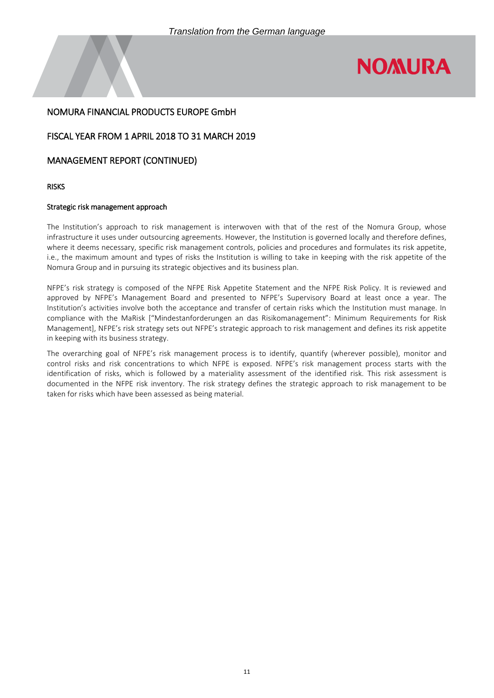### NOMURA FINANCIAL PRODUCTS EUROPE GmbH

### FISCAL YEAR FROM 1 APRIL 2018 TO 31 MARCH 2019

### MANAGEMENT REPORT (CONTINUED)

RISKS

I

#### Strategic risk management approach

The Institution's approach to risk management is interwoven with that of the rest of the Nomura Group, whose infrastructure it uses under outsourcing agreements. However, the Institution is governed locally and therefore defines, where it deems necessary, specific risk management controls, policies and procedures and formulates its risk appetite, i.e., the maximum amount and types of risks the Institution is willing to take in keeping with the risk appetite of the Nomura Group and in pursuing its strategic objectives and its business plan.

NFPE's risk strategy is composed of the NFPE Risk Appetite Statement and the NFPE Risk Policy. It is reviewed and approved by NFPE's Management Board and presented to NFPE's Supervisory Board at least once a year. The Institution's activities involve both the acceptance and transfer of certain risks which the Institution must manage. In compliance with the MaRisk ["Mindestanforderungen an das Risikomanagement": Minimum Requirements for Risk Management], NFPE's risk strategy sets out NFPE's strategic approach to risk management and defines its risk appetite in keeping with its business strategy.

The overarching goal of NFPE's risk management process is to identify, quantify (wherever possible), monitor and control risks and risk concentrations to which NFPE is exposed. NFPE's risk management process starts with the identification of risks, which is followed by a materiality assessment of the identified risk. This risk assessment is documented in the NFPE risk inventory. The risk strategy defines the strategic approach to risk management to be taken for risks which have been assessed as being material.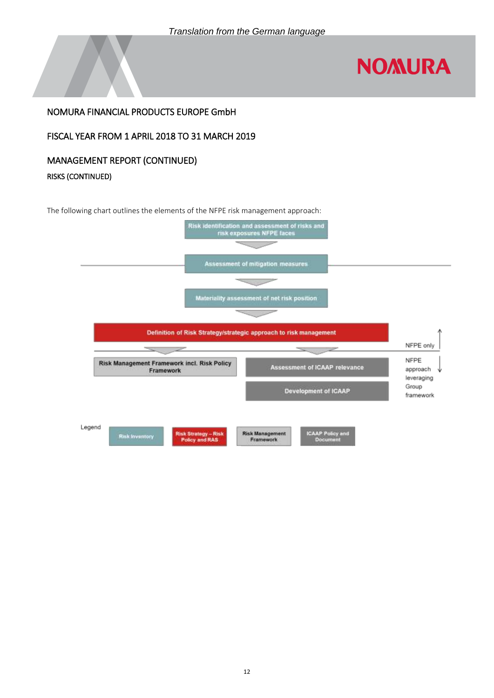## NOMURA FINANCIAL PRODUCTS EUROPE GmbH

## FISCAL YEAR FROM 1 APRIL 2018 TO 31 MARCH 2019

# MANAGEMENT REPORT (CONTINUED) RISKS (CONTINUED)

I

The following chart outlines the elements of the NFPE risk management approach:

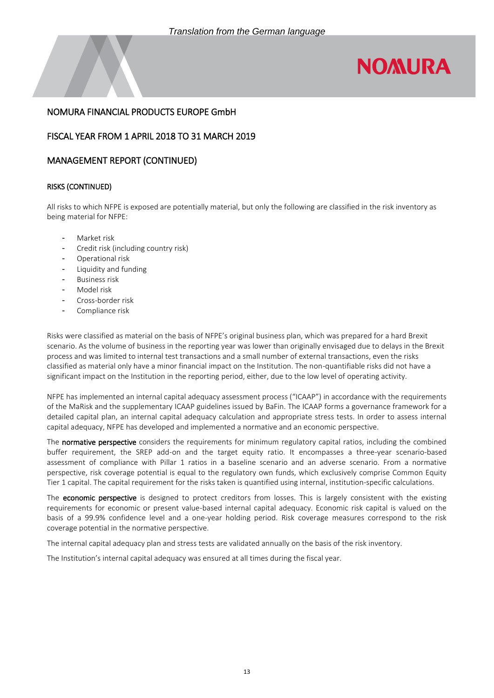## NOMURA FINANCIAL PRODUCTS EUROPE GmbH

## FISCAL YEAR FROM 1 APRIL 2018 TO 31 MARCH 2019

### MANAGEMENT REPORT (CONTINUED)

#### RISKS (CONTINUED)

I

All risks to which NFPE is exposed are potentially material, but only the following are classified in the risk inventory as being material for NFPE:

- Market risk
- Credit risk (including country risk)
- Operational risk
- Liquidity and funding
- Business risk
- Model risk
- Cross-border risk
- Compliance risk

Risks were classified as material on the basis of NFPE's original business plan, which was prepared for a hard Brexit scenario. As the volume of business in the reporting year was lower than originally envisaged due to delays in the Brexit process and was limited to internal test transactions and a small number of external transactions, even the risks classified as material only have a minor financial impact on the Institution. The non-quantifiable risks did not have a significant impact on the Institution in the reporting period, either, due to the low level of operating activity.

NFPE has implemented an internal capital adequacy assessment process ("ICAAP") in accordance with the requirements of the MaRisk and the supplementary ICAAP guidelines issued by BaFin. The ICAAP forms a governance framework for a detailed capital plan, an internal capital adequacy calculation and appropriate stress tests. In order to assess internal capital adequacy, NFPE has developed and implemented a normative and an economic perspective.

The normative perspective considers the requirements for minimum regulatory capital ratios, including the combined buffer requirement, the SREP add-on and the target equity ratio. It encompasses a three-year scenario-based assessment of compliance with Pillar 1 ratios in a baseline scenario and an adverse scenario. From a normative perspective, risk coverage potential is equal to the regulatory own funds, which exclusively comprise Common Equity Tier 1 capital. The capital requirement for the risks taken is quantified using internal, institution-specific calculations.

The **economic perspective** is designed to protect creditors from losses. This is largely consistent with the existing requirements for economic or present value-based internal capital adequacy. Economic risk capital is valued on the basis of a 99.9% confidence level and a one-year holding period. Risk coverage measures correspond to the risk coverage potential in the normative perspective.

The internal capital adequacy plan and stress tests are validated annually on the basis of the risk inventory.

The Institution's internal capital adequacy was ensured at all times during the fiscal year.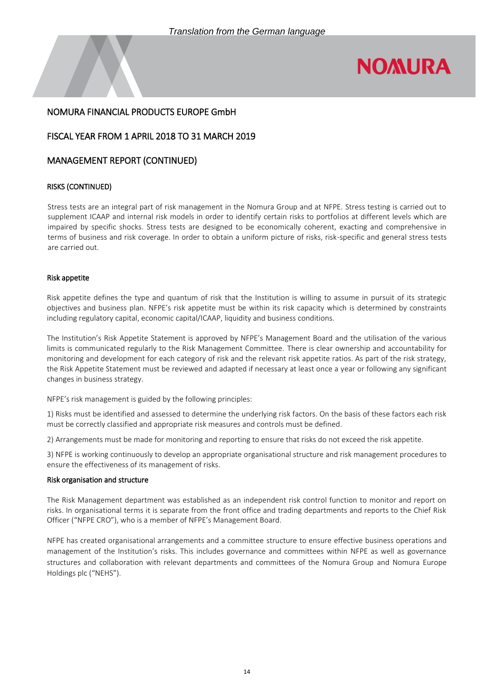### NOMURA FINANCIAL PRODUCTS EUROPE GmbH

### FISCAL YEAR FROM 1 APRIL 2018 TO 31 MARCH 2019

#### MANAGEMENT REPORT (CONTINUED)

#### RISKS (CONTINUED)

I

Stress tests are an integral part of risk management in the Nomura Group and at NFPE. Stress testing is carried out to supplement ICAAP and internal risk models in order to identify certain risks to portfolios at different levels which are impaired by specific shocks. Stress tests are designed to be economically coherent, exacting and comprehensive in terms of business and risk coverage. In order to obtain a uniform picture of risks, risk-specific and general stress tests are carried out.

#### Risk appetite

Risk appetite defines the type and quantum of risk that the Institution is willing to assume in pursuit of its strategic objectives and business plan. NFPE's risk appetite must be within its risk capacity which is determined by constraints including regulatory capital, economic capital/ICAAP, liquidity and business conditions.

The Institution's Risk Appetite Statement is approved by NFPE's Management Board and the utilisation of the various limits is communicated regularly to the Risk Management Committee. There is clear ownership and accountability for monitoring and development for each category of risk and the relevant risk appetite ratios. As part of the risk strategy, the Risk Appetite Statement must be reviewed and adapted if necessary at least once a year or following any significant changes in business strategy.

NFPE's risk management is guided by the following principles:

1) Risks must be identified and assessed to determine the underlying risk factors. On the basis of these factors each risk must be correctly classified and appropriate risk measures and controls must be defined.

2) Arrangements must be made for monitoring and reporting to ensure that risks do not exceed the risk appetite.

3) NFPE is working continuously to develop an appropriate organisational structure and risk management procedures to ensure the effectiveness of its management of risks.

#### Risk organisation and structure

The Risk Management department was established as an independent risk control function to monitor and report on risks. In organisational terms it is separate from the front office and trading departments and reports to the Chief Risk Officer ("NFPE CRO"), who is a member of NFPE's Management Board.

NFPE has created organisational arrangements and a committee structure to ensure effective business operations and management of the Institution's risks. This includes governance and committees within NFPE as well as governance structures and collaboration with relevant departments and committees of the Nomura Group and Nomura Europe Holdings plc ("NEHS").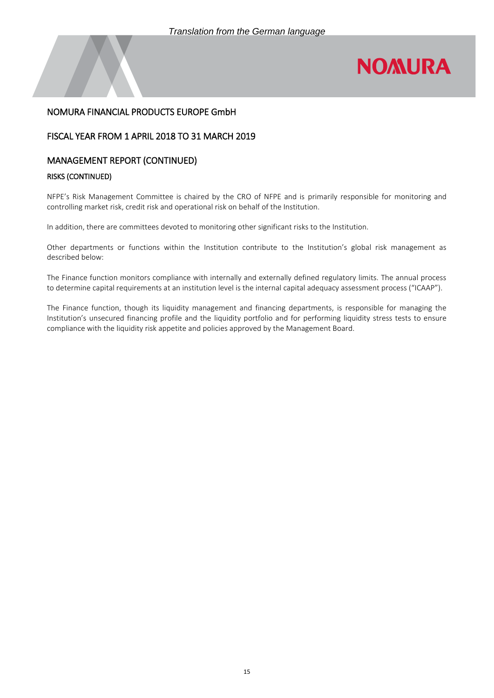### NOMURA FINANCIAL PRODUCTS EUROPE GmbH

## FISCAL YEAR FROM 1 APRIL 2018 TO 31 MARCH 2019

### MANAGEMENT REPORT (CONTINUED)

#### RISKS (CONTINUED)

I

NFPE's Risk Management Committee is chaired by the CRO of NFPE and is primarily responsible for monitoring and controlling market risk, credit risk and operational risk on behalf of the Institution.

In addition, there are committees devoted to monitoring other significant risks to the Institution.

Other departments or functions within the Institution contribute to the Institution's global risk management as described below:

The Finance function monitors compliance with internally and externally defined regulatory limits. The annual process to determine capital requirements at an institution level is the internal capital adequacy assessment process ("ICAAP").

The Finance function, though its liquidity management and financing departments, is responsible for managing the Institution's unsecured financing profile and the liquidity portfolio and for performing liquidity stress tests to ensure compliance with the liquidity risk appetite and policies approved by the Management Board.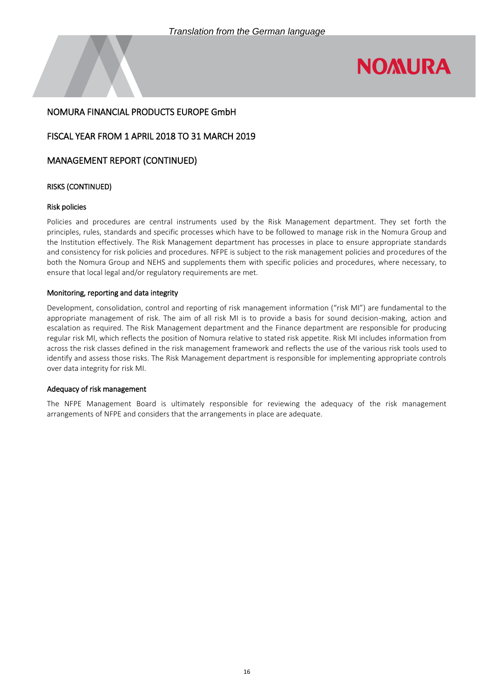### NOMURA FINANCIAL PRODUCTS EUROPE GmbH

## FISCAL YEAR FROM 1 APRIL 2018 TO 31 MARCH 2019

### MANAGEMENT REPORT (CONTINUED)

#### RISKS (CONTINUED)

#### Risk policies

I

Policies and procedures are central instruments used by the Risk Management department. They set forth the principles, rules, standards and specific processes which have to be followed to manage risk in the Nomura Group and the Institution effectively. The Risk Management department has processes in place to ensure appropriate standards and consistency for risk policies and procedures. NFPE is subject to the risk management policies and procedures of the both the Nomura Group and NEHS and supplements them with specific policies and procedures, where necessary, to ensure that local legal and/or regulatory requirements are met.

#### Monitoring, reporting and data integrity

Development, consolidation, control and reporting of risk management information ("risk MI") are fundamental to the appropriate management of risk. The aim of all risk MI is to provide a basis for sound decision-making, action and escalation as required. The Risk Management department and the Finance department are responsible for producing regular risk MI, which reflects the position of Nomura relative to stated risk appetite. Risk MI includes information from across the risk classes defined in the risk management framework and reflects the use of the various risk tools used to identify and assess those risks. The Risk Management department is responsible for implementing appropriate controls over data integrity for risk MI.

#### Adequacy of risk management

The NFPE Management Board is ultimately responsible for reviewing the adequacy of the risk management arrangements of NFPE and considers that the arrangements in place are adequate.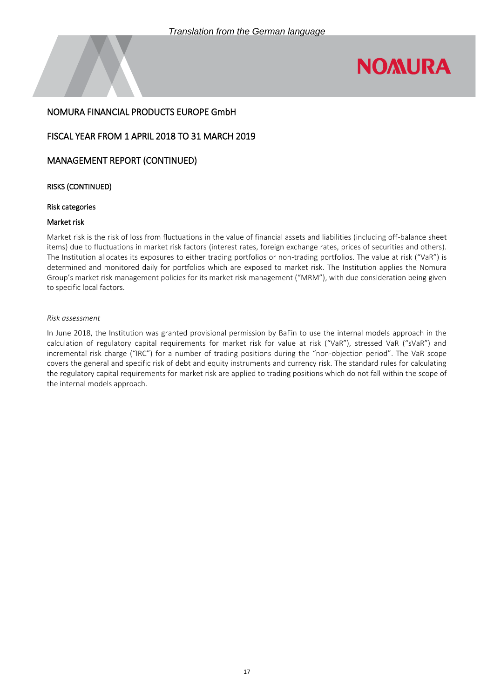#### NOMURA FINANCIAL PRODUCTS EUROPE GmbH

## FISCAL YEAR FROM 1 APRIL 2018 TO 31 MARCH 2019

### MANAGEMENT REPORT (CONTINUED)

#### RISKS (CONTINUED)

#### Risk categories

#### Market risk

I

Market risk is the risk of loss from fluctuations in the value of financial assets and liabilities (including off-balance sheet items) due to fluctuations in market risk factors (interest rates, foreign exchange rates, prices of securities and others). The Institution allocates its exposures to either trading portfolios or non-trading portfolios. The value at risk ("VaR") is determined and monitored daily for portfolios which are exposed to market risk. The Institution applies the Nomura Group's market risk management policies for its market risk management ("MRM"), with due consideration being given to specific local factors.

#### *Risk assessment*

In June 2018, the Institution was granted provisional permission by BaFin to use the internal models approach in the calculation of regulatory capital requirements for market risk for value at risk ("VaR"), stressed VaR ("sVaR") and incremental risk charge ("IRC") for a number of trading positions during the "non-objection period". The VaR scope covers the general and specific risk of debt and equity instruments and currency risk. The standard rules for calculating the regulatory capital requirements for market risk are applied to trading positions which do not fall within the scope of the internal models approach.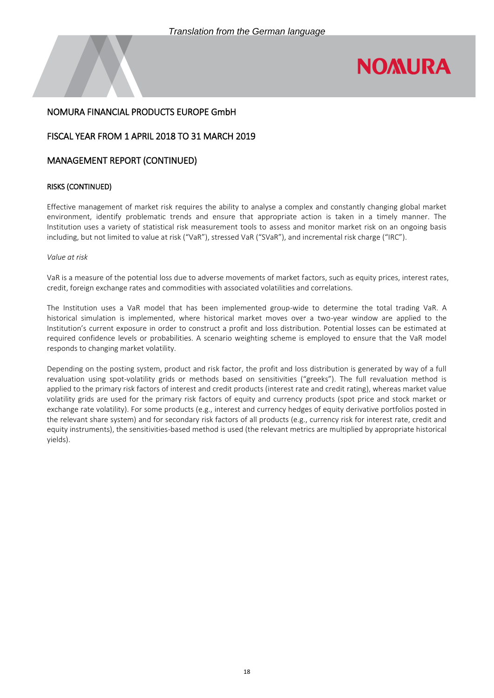#### NOMURA FINANCIAL PRODUCTS EUROPE GmbH

### FISCAL YEAR FROM 1 APRIL 2018 TO 31 MARCH 2019

### MANAGEMENT REPORT (CONTINUED)

#### RISKS (CONTINUED)

I

Effective management of market risk requires the ability to analyse a complex and constantly changing global market environment, identify problematic trends and ensure that appropriate action is taken in a timely manner. The Institution uses a variety of statistical risk measurement tools to assess and monitor market risk on an ongoing basis including, but not limited to value at risk ("VaR"), stressed VaR ("SVaR"), and incremental risk charge ("IRC").

#### *Value at risk*

VaR is a measure of the potential loss due to adverse movements of market factors, such as equity prices, interest rates, credit, foreign exchange rates and commodities with associated volatilities and correlations.

The Institution uses a VaR model that has been implemented group-wide to determine the total trading VaR. A historical simulation is implemented, where historical market moves over a two-year window are applied to the Institution's current exposure in order to construct a profit and loss distribution. Potential losses can be estimated at required confidence levels or probabilities. A scenario weighting scheme is employed to ensure that the VaR model responds to changing market volatility.

Depending on the posting system, product and risk factor, the profit and loss distribution is generated by way of a full revaluation using spot-volatility grids or methods based on sensitivities ("greeks"). The full revaluation method is applied to the primary risk factors of interest and credit products (interest rate and credit rating), whereas market value volatility grids are used for the primary risk factors of equity and currency products (spot price and stock market or exchange rate volatility). For some products (e.g., interest and currency hedges of equity derivative portfolios posted in the relevant share system) and for secondary risk factors of all products (e.g., currency risk for interest rate, credit and equity instruments), the sensitivities-based method is used (the relevant metrics are multiplied by appropriate historical yields).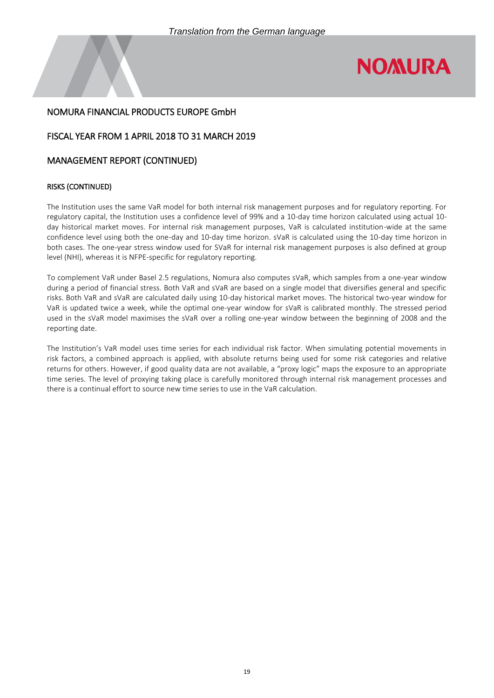### NOMURA FINANCIAL PRODUCTS EUROPE GmbH

## FISCAL YEAR FROM 1 APRIL 2018 TO 31 MARCH 2019

### MANAGEMENT REPORT (CONTINUED)

#### RISKS (CONTINUED)

I

The Institution uses the same VaR model for both internal risk management purposes and for regulatory reporting. For regulatory capital, the Institution uses a confidence level of 99% and a 10-day time horizon calculated using actual 10 day historical market moves. For internal risk management purposes, VaR is calculated institution-wide at the same confidence level using both the one-day and 10-day time horizon. sVaR is calculated using the 10-day time horizon in both cases. The one-year stress window used for SVaR for internal risk management purposes is also defined at group level (NHI), whereas it is NFPE-specific for regulatory reporting.

To complement VaR under Basel 2.5 regulations, Nomura also computes sVaR, which samples from a one-year window during a period of financial stress. Both VaR and sVaR are based on a single model that diversifies general and specific risks. Both VaR and sVaR are calculated daily using 10-day historical market moves. The historical two-year window for VaR is updated twice a week, while the optimal one-year window for sVaR is calibrated monthly. The stressed period used in the sVaR model maximises the sVaR over a rolling one-year window between the beginning of 2008 and the reporting date.

The Institution's VaR model uses time series for each individual risk factor. When simulating potential movements in risk factors, a combined approach is applied, with absolute returns being used for some risk categories and relative returns for others. However, if good quality data are not available, a "proxy logic" maps the exposure to an appropriate time series. The level of proxying taking place is carefully monitored through internal risk management processes and there is a continual effort to source new time series to use in the VaR calculation.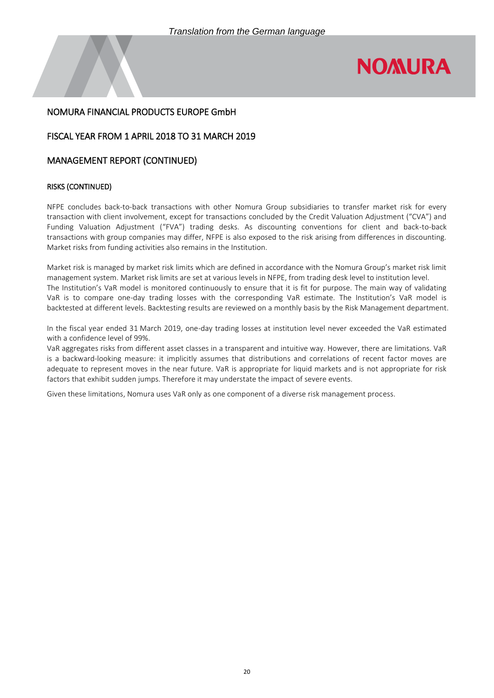#### NOMURA FINANCIAL PRODUCTS EUROPE GmbH

## FISCAL YEAR FROM 1 APRIL 2018 TO 31 MARCH 2019

#### MANAGEMENT REPORT (CONTINUED)

#### RISKS (CONTINUED)

I

NFPE concludes back-to-back transactions with other Nomura Group subsidiaries to transfer market risk for every transaction with client involvement, except for transactions concluded by the Credit Valuation Adjustment ("CVA") and Funding Valuation Adjustment ("FVA") trading desks. As discounting conventions for client and back-to-back transactions with group companies may differ, NFPE is also exposed to the risk arising from differences in discounting. Market risks from funding activities also remains in the Institution.

Market risk is managed by market risk limits which are defined in accordance with the Nomura Group's market risk limit management system. Market risk limits are set at various levels in NFPE, from trading desk level to institution level. The Institution's VaR model is monitored continuously to ensure that it is fit for purpose. The main way of validating VaR is to compare one-day trading losses with the corresponding VaR estimate. The Institution's VaR model is backtested at different levels. Backtesting results are reviewed on a monthly basis by the Risk Management department.

In the fiscal year ended 31 March 2019, one-day trading losses at institution level never exceeded the VaR estimated with a confidence level of 99%.

VaR aggregates risks from different asset classes in a transparent and intuitive way. However, there are limitations. VaR is a backward-looking measure: it implicitly assumes that distributions and correlations of recent factor moves are adequate to represent moves in the near future. VaR is appropriate for liquid markets and is not appropriate for risk factors that exhibit sudden jumps. Therefore it may understate the impact of severe events.

Given these limitations, Nomura uses VaR only as one component of a diverse risk management process.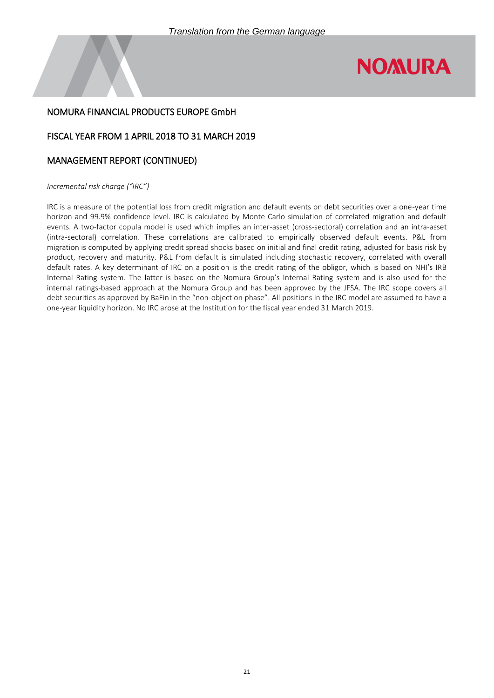### NOMURA FINANCIAL PRODUCTS EUROPE GmbH

## FISCAL YEAR FROM 1 APRIL 2018 TO 31 MARCH 2019

## MANAGEMENT REPORT (CONTINUED)

*Incremental risk charge ("IRC")*

I

IRC is a measure of the potential loss from credit migration and default events on debt securities over a one-year time horizon and 99.9% confidence level. IRC is calculated by Monte Carlo simulation of correlated migration and default events. A two-factor copula model is used which implies an inter-asset (cross-sectoral) correlation and an intra-asset (intra-sectoral) correlation. These correlations are calibrated to empirically observed default events. P&L from migration is computed by applying credit spread shocks based on initial and final credit rating, adjusted for basis risk by product, recovery and maturity. P&L from default is simulated including stochastic recovery, correlated with overall default rates. A key determinant of IRC on a position is the credit rating of the obligor, which is based on NHI's IRB Internal Rating system. The latter is based on the Nomura Group's Internal Rating system and is also used for the internal ratings-based approach at the Nomura Group and has been approved by the JFSA. The IRC scope covers all debt securities as approved by BaFin in the "non-objection phase". All positions in the IRC model are assumed to have a one-year liquidity horizon. No IRC arose at the Institution for the fiscal year ended 31 March 2019.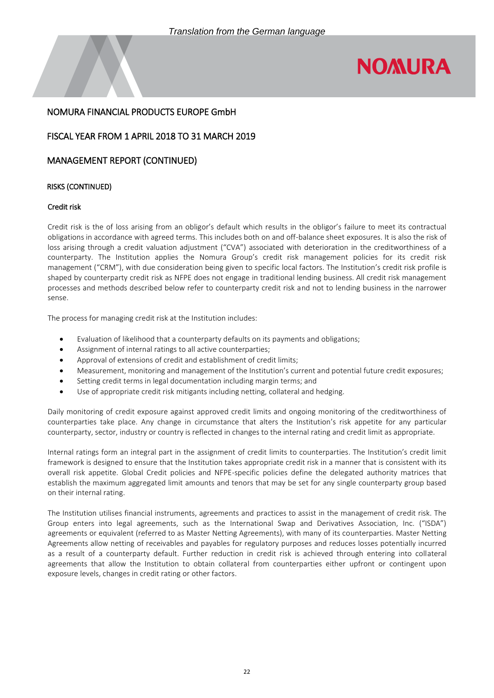### NOMURA FINANCIAL PRODUCTS EUROPE GmbH

## FISCAL YEAR FROM 1 APRIL 2018 TO 31 MARCH 2019

### MANAGEMENT REPORT (CONTINUED)

#### RISKS (CONTINUED)

#### Credit risk

I

Credit risk is the of loss arising from an obligor's default which results in the obligor's failure to meet its contractual obligations in accordance with agreed terms. This includes both on and off-balance sheet exposures. It is also the risk of loss arising through a credit valuation adjustment ("CVA") associated with deterioration in the creditworthiness of a counterparty. The Institution applies the Nomura Group's credit risk management policies for its credit risk management ("CRM"), with due consideration being given to specific local factors. The Institution's credit risk profile is shaped by counterparty credit risk as NFPE does not engage in traditional lending business. All credit risk management processes and methods described below refer to counterparty credit risk and not to lending business in the narrower sense.

The process for managing credit risk at the Institution includes:

- Evaluation of likelihood that a counterparty defaults on its payments and obligations;
- Assignment of internal ratings to all active counterparties;
- Approval of extensions of credit and establishment of credit limits;
- Measurement, monitoring and management of the Institution's current and potential future credit exposures;
- Setting credit terms in legal documentation including margin terms; and
- Use of appropriate credit risk mitigants including netting, collateral and hedging.

Daily monitoring of credit exposure against approved credit limits and ongoing monitoring of the creditworthiness of counterparties take place. Any change in circumstance that alters the Institution's risk appetite for any particular counterparty, sector, industry or country is reflected in changes to the internal rating and credit limit as appropriate.

Internal ratings form an integral part in the assignment of credit limits to counterparties. The Institution's credit limit framework is designed to ensure that the Institution takes appropriate credit risk in a manner that is consistent with its overall risk appetite. Global Credit policies and NFPE-specific policies define the delegated authority matrices that establish the maximum aggregated limit amounts and tenors that may be set for any single counterparty group based on their internal rating.

The Institution utilises financial instruments, agreements and practices to assist in the management of credit risk. The Group enters into legal agreements, such as the International Swap and Derivatives Association, Inc. ("ISDA") agreements or equivalent (referred to as Master Netting Agreements), with many of its counterparties. Master Netting Agreements allow netting of receivables and payables for regulatory purposes and reduces losses potentially incurred as a result of a counterparty default. Further reduction in credit risk is achieved through entering into collateral agreements that allow the Institution to obtain collateral from counterparties either upfront or contingent upon exposure levels, changes in credit rating or other factors.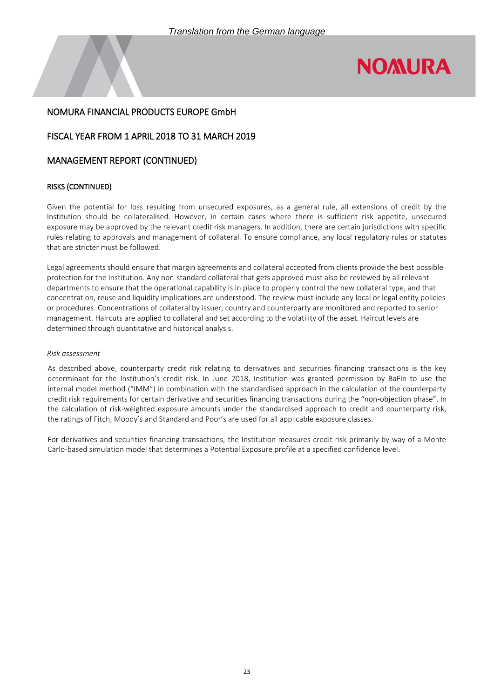### NOMURA FINANCIAL PRODUCTS EUROPE GmbH

### FISCAL YEAR FROM 1 APRIL 2018 TO 31 MARCH 2019

#### MANAGEMENT REPORT (CONTINUED)

#### RISKS (CONTINUED)

I

Given the potential for loss resulting from unsecured exposures, as a general rule, all extensions of credit by the Institution should be collateralised. However, in certain cases where there is sufficient risk appetite, unsecured exposure may be approved by the relevant credit risk managers. In addition, there are certain jurisdictions with specific rules relating to approvals and management of collateral. To ensure compliance, any local regulatory rules or statutes that are stricter must be followed.

Legal agreements should ensure that margin agreements and collateral accepted from clients provide the best possible protection for the Institution. Any non-standard collateral that gets approved must also be reviewed by all relevant departments to ensure that the operational capability is in place to properly control the new collateral type, and that concentration, reuse and liquidity implications are understood. The review must include any local or legal entity policies or procedures. Concentrations of collateral by issuer, country and counterparty are monitored and reported to senior management. Haircuts are applied to collateral and set according to the volatility of the asset. Haircut levels are determined through quantitative and historical analysis.

#### *Risk assessment*

As described above, counterparty credit risk relating to derivatives and securities financing transactions is the key determinant for the Institution's credit risk. In June 2018, Institution was granted permission by BaFin to use the internal model method ("IMM") in combination with the standardised approach in the calculation of the counterparty credit risk requirements for certain derivative and securities financing transactions during the "non-objection phase". In the calculation of risk-weighted exposure amounts under the standardised approach to credit and counterparty risk, the ratings of Fitch, Moody's and Standard and Poor's are used for all applicable exposure classes.

For derivatives and securities financing transactions, the Institution measures credit risk primarily by way of a Monte Carlo-based simulation model that determines a Potential Exposure profile at a specified confidence level.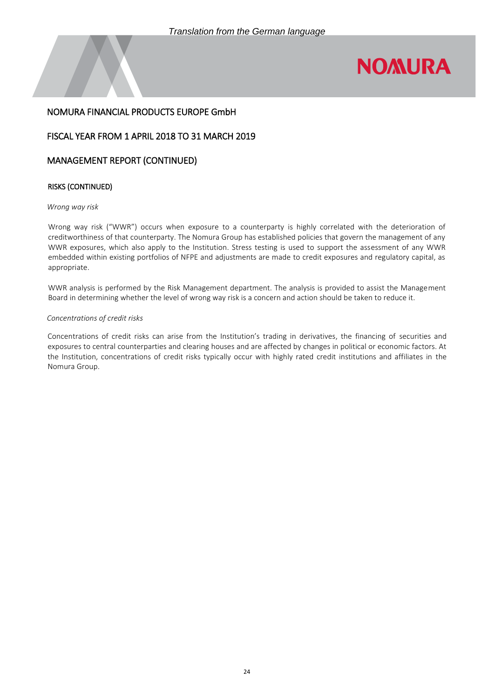### NOMURA FINANCIAL PRODUCTS EUROPE GmbH

## FISCAL YEAR FROM 1 APRIL 2018 TO 31 MARCH 2019

### MANAGEMENT REPORT (CONTINUED)

#### RISKS (CONTINUED)

*Wrong way risk*

I

Wrong way risk ("WWR") occurs when exposure to a counterparty is highly correlated with the deterioration of creditworthiness of that counterparty. The Nomura Group has established policies that govern the management of any WWR exposures, which also apply to the Institution. Stress testing is used to support the assessment of any WWR embedded within existing portfolios of NFPE and adjustments are made to credit exposures and regulatory capital, as appropriate.

WWR analysis is performed by the Risk Management department. The analysis is provided to assist the Management Board in determining whether the level of wrong way risk is a concern and action should be taken to reduce it.

#### *Concentrations of credit risks*

Concentrations of credit risks can arise from the Institution's trading in derivatives, the financing of securities and exposures to central counterparties and clearing houses and are affected by changes in political or economic factors. At the Institution, concentrations of credit risks typically occur with highly rated credit institutions and affiliates in the Nomura Group.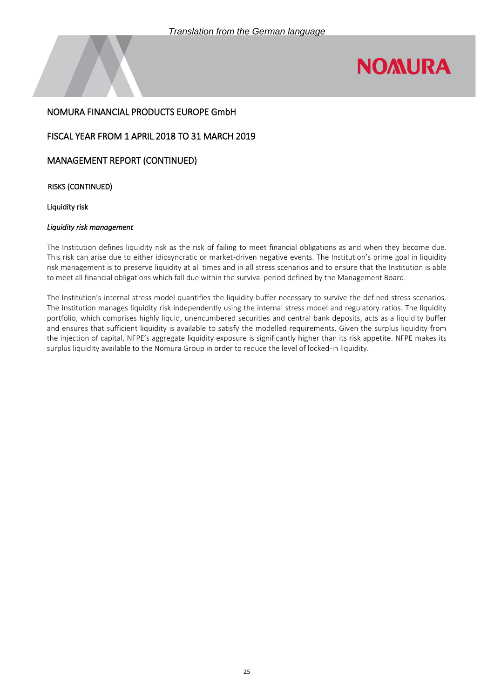## NOMURA FINANCIAL PRODUCTS EUROPE GmbH

## FISCAL YEAR FROM 1 APRIL 2018 TO 31 MARCH 2019

### MANAGEMENT REPORT (CONTINUED)

RISKS (CONTINUED)

Liquidity risk

I

#### *Liquidity risk management*

The Institution defines liquidity risk as the risk of failing to meet financial obligations as and when they become due. This risk can arise due to either idiosyncratic or market-driven negative events. The Institution's prime goal in liquidity risk management is to preserve liquidity at all times and in all stress scenarios and to ensure that the Institution is able to meet all financial obligations which fall due within the survival period defined by the Management Board.

The Institution's internal stress model quantifies the liquidity buffer necessary to survive the defined stress scenarios. The Institution manages liquidity risk independently using the internal stress model and regulatory ratios. The liquidity portfolio, which comprises highly liquid, unencumbered securities and central bank deposits, acts as a liquidity buffer and ensures that sufficient liquidity is available to satisfy the modelled requirements. Given the surplus liquidity from the injection of capital, NFPE's aggregate liquidity exposure is significantly higher than its risk appetite. NFPE makes its surplus liquidity available to the Nomura Group in order to reduce the level of locked-in liquidity.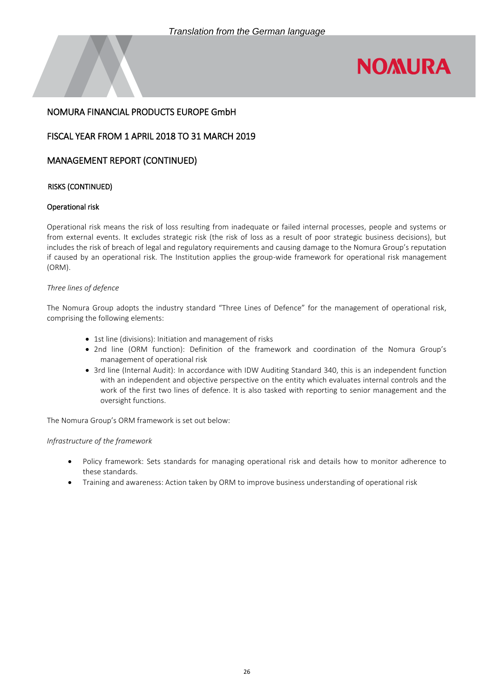### NOMURA FINANCIAL PRODUCTS EUROPE GmbH

## FISCAL YEAR FROM 1 APRIL 2018 TO 31 MARCH 2019

### MANAGEMENT REPORT (CONTINUED)

#### RISKS (CONTINUED)

#### Operational risk

I

Operational risk means the risk of loss resulting from inadequate or failed internal processes, people and systems or from external events. It excludes strategic risk (the risk of loss as a result of poor strategic business decisions), but includes the risk of breach of legal and regulatory requirements and causing damage to the Nomura Group's reputation if caused by an operational risk. The Institution applies the group-wide framework for operational risk management (ORM).

#### *Three lines of defence*

The Nomura Group adopts the industry standard "Three Lines of Defence" for the management of operational risk, comprising the following elements:

- 1st line (divisions): Initiation and management of risks
- 2nd line (ORM function): Definition of the framework and coordination of the Nomura Group's management of operational risk
- 3rd line (Internal Audit): In accordance with IDW Auditing Standard 340, this is an independent function with an independent and objective perspective on the entity which evaluates internal controls and the work of the first two lines of defence. It is also tasked with reporting to senior management and the oversight functions.

The Nomura Group's ORM framework is set out below:

#### *Infrastructure of the framework*

- Policy framework: Sets standards for managing operational risk and details how to monitor adherence to these standards.
- Training and awareness: Action taken by ORM to improve business understanding of operational risk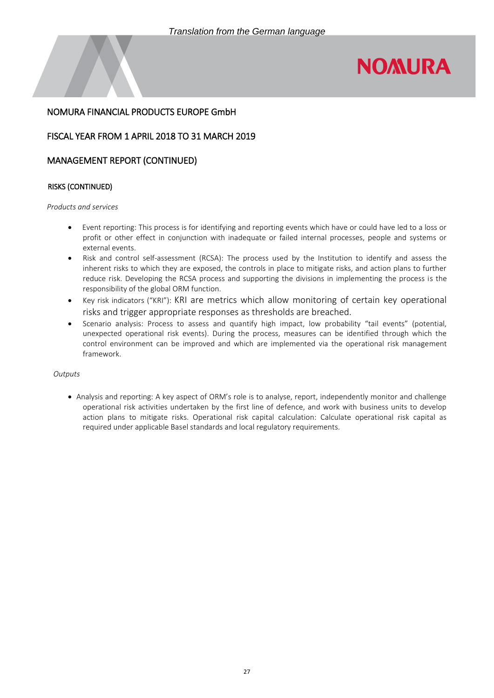## NOMURA FINANCIAL PRODUCTS EUROPE GmbH

## FISCAL YEAR FROM 1 APRIL 2018 TO 31 MARCH 2019

### MANAGEMENT REPORT (CONTINUED)

#### RISKS (CONTINUED)

I

*Products and services* 

- Event reporting: This process is for identifying and reporting events which have or could have led to a loss or profit or other effect in conjunction with inadequate or failed internal processes, people and systems or external events.
- Risk and control self-assessment (RCSA): The process used by the Institution to identify and assess the inherent risks to which they are exposed, the controls in place to mitigate risks, and action plans to further reduce risk. Developing the RCSA process and supporting the divisions in implementing the process is the responsibility of the global ORM function.
- Key risk indicators ("KRI"): KRI are metrics which allow monitoring of certain key operational risks and trigger appropriate responses as thresholds are breached.
- Scenario analysis: Process to assess and quantify high impact, low probability "tail events" (potential, unexpected operational risk events). During the process, measures can be identified through which the control environment can be improved and which are implemented via the operational risk management framework.

#### *Outputs*

 Analysis and reporting: A key aspect of ORM's role is to analyse, report, independently monitor and challenge operational risk activities undertaken by the first line of defence, and work with business units to develop action plans to mitigate risks. Operational risk capital calculation: Calculate operational risk capital as required under applicable Basel standards and local regulatory requirements.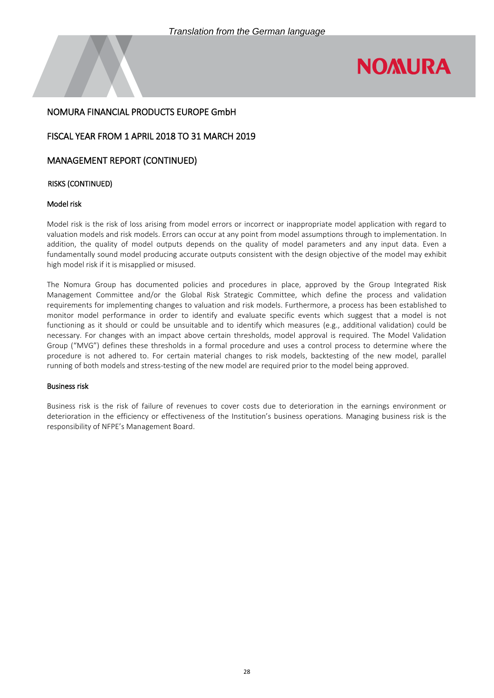### NOMURA FINANCIAL PRODUCTS EUROPE GmbH

## FISCAL YEAR FROM 1 APRIL 2018 TO 31 MARCH 2019

#### MANAGEMENT REPORT (CONTINUED)

#### RISKS (CONTINUED)

#### Model risk

I

Model risk is the risk of loss arising from model errors or incorrect or inappropriate model application with regard to valuation models and risk models. Errors can occur at any point from model assumptions through to implementation. In addition, the quality of model outputs depends on the quality of model parameters and any input data. Even a fundamentally sound model producing accurate outputs consistent with the design objective of the model may exhibit high model risk if it is misapplied or misused.

The Nomura Group has documented policies and procedures in place, approved by the Group Integrated Risk Management Committee and/or the Global Risk Strategic Committee, which define the process and validation requirements for implementing changes to valuation and risk models. Furthermore, a process has been established to monitor model performance in order to identify and evaluate specific events which suggest that a model is not functioning as it should or could be unsuitable and to identify which measures (e.g., additional validation) could be necessary. For changes with an impact above certain thresholds, model approval is required. The Model Validation Group ("MVG") defines these thresholds in a formal procedure and uses a control process to determine where the procedure is not adhered to. For certain material changes to risk models, backtesting of the new model, parallel running of both models and stress-testing of the new model are required prior to the model being approved.

#### Business risk

Business risk is the risk of failure of revenues to cover costs due to deterioration in the earnings environment or deterioration in the efficiency or effectiveness of the Institution's business operations. Managing business risk is the responsibility of NFPE's Management Board.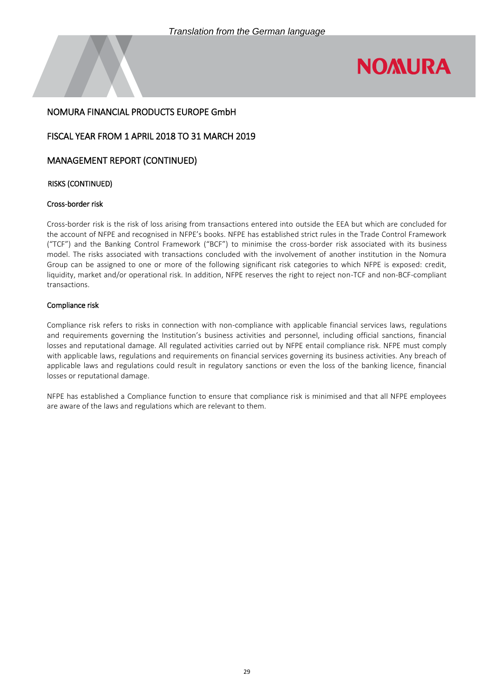### NOMURA FINANCIAL PRODUCTS EUROPE GmbH

## FISCAL YEAR FROM 1 APRIL 2018 TO 31 MARCH 2019

### MANAGEMENT REPORT (CONTINUED)

#### RISKS (CONTINUED)

#### Cross-border risk

I

Cross-border risk is the risk of loss arising from transactions entered into outside the EEA but which are concluded for the account of NFPE and recognised in NFPE's books. NFPE has established strict rules in the Trade Control Framework ("TCF") and the Banking Control Framework ("BCF") to minimise the cross-border risk associated with its business model. The risks associated with transactions concluded with the involvement of another institution in the Nomura Group can be assigned to one or more of the following significant risk categories to which NFPE is exposed: credit, liquidity, market and/or operational risk. In addition, NFPE reserves the right to reject non-TCF and non-BCF-compliant transactions.

#### Compliance risk

Compliance risk refers to risks in connection with non-compliance with applicable financial services laws, regulations and requirements governing the Institution's business activities and personnel, including official sanctions, financial losses and reputational damage. All regulated activities carried out by NFPE entail compliance risk. NFPE must comply with applicable laws, regulations and requirements on financial services governing its business activities. Any breach of applicable laws and regulations could result in regulatory sanctions or even the loss of the banking licence, financial losses or reputational damage.

NFPE has established a Compliance function to ensure that compliance risk is minimised and that all NFPE employees are aware of the laws and regulations which are relevant to them.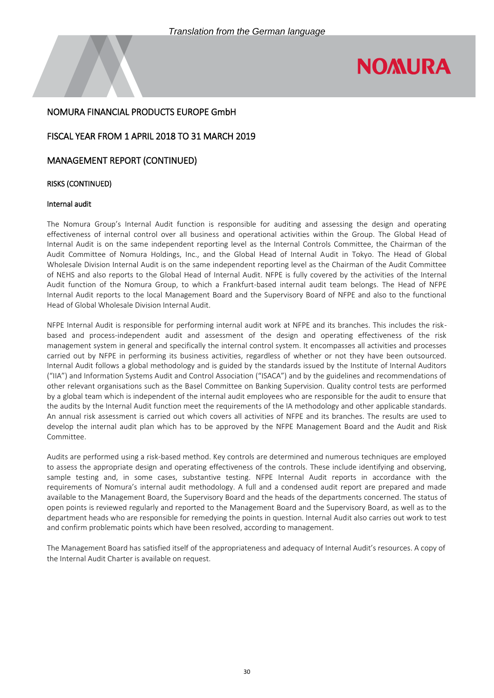### NOMURA FINANCIAL PRODUCTS EUROPE GmbH

### FISCAL YEAR FROM 1 APRIL 2018 TO 31 MARCH 2019

#### MANAGEMENT REPORT (CONTINUED)

#### RISKS (CONTINUED)

#### Internal audit

I

The Nomura Group's Internal Audit function is responsible for auditing and assessing the design and operating effectiveness of internal control over all business and operational activities within the Group. The Global Head of Internal Audit is on the same independent reporting level as the Internal Controls Committee, the Chairman of the Audit Committee of Nomura Holdings, Inc., and the Global Head of Internal Audit in Tokyo. The Head of Global Wholesale Division Internal Audit is on the same independent reporting level as the Chairman of the Audit Committee of NEHS and also reports to the Global Head of Internal Audit. NFPE is fully covered by the activities of the Internal Audit function of the Nomura Group, to which a Frankfurt-based internal audit team belongs. The Head of NFPE Internal Audit reports to the local Management Board and the Supervisory Board of NFPE and also to the functional Head of Global Wholesale Division Internal Audit.

NFPE Internal Audit is responsible for performing internal audit work at NFPE and its branches. This includes the riskbased and process-independent audit and assessment of the design and operating effectiveness of the risk management system in general and specifically the internal control system. It encompasses all activities and processes carried out by NFPE in performing its business activities, regardless of whether or not they have been outsourced. Internal Audit follows a global methodology and is guided by the standards issued by the Institute of Internal Auditors ("IIA") and Information Systems Audit and Control Association ("ISACA") and by the guidelines and recommendations of other relevant organisations such as the Basel Committee on Banking Supervision. Quality control tests are performed by a global team which is independent of the internal audit employees who are responsible for the audit to ensure that the audits by the Internal Audit function meet the requirements of the IA methodology and other applicable standards. An annual risk assessment is carried out which covers all activities of NFPE and its branches. The results are used to develop the internal audit plan which has to be approved by the NFPE Management Board and the Audit and Risk Committee.

Audits are performed using a risk-based method. Key controls are determined and numerous techniques are employed to assess the appropriate design and operating effectiveness of the controls. These include identifying and observing, sample testing and, in some cases, substantive testing. NFPE Internal Audit reports in accordance with the requirements of Nomura's internal audit methodology. A full and a condensed audit report are prepared and made available to the Management Board, the Supervisory Board and the heads of the departments concerned. The status of open points is reviewed regularly and reported to the Management Board and the Supervisory Board, as well as to the department heads who are responsible for remedying the points in question. Internal Audit also carries out work to test and confirm problematic points which have been resolved, according to management.

The Management Board has satisfied itself of the appropriateness and adequacy of Internal Audit's resources. A copy of the Internal Audit Charter is available on request.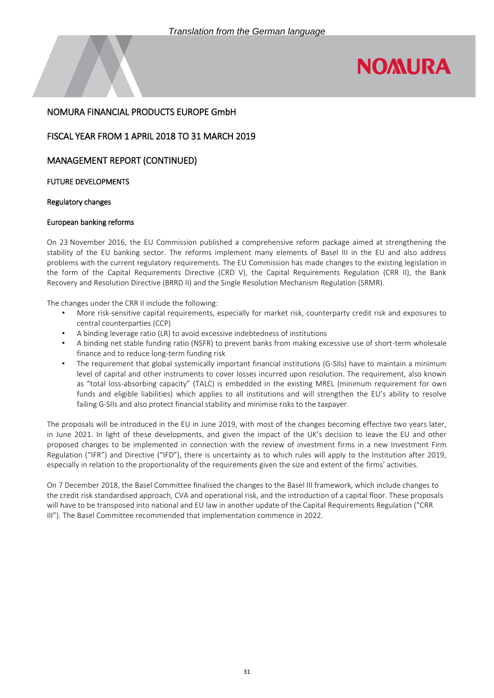### NOMURA FINANCIAL PRODUCTS EUROPE GmbH

### FISCAL YEAR FROM 1 APRIL 2018 TO 31 MARCH 2019

### MANAGEMENT REPORT (CONTINUED)

#### FUTURE DEVELOPMENTS

#### Regulatory changes

I

#### European banking reforms

On 23 November 2016, the EU Commission published a comprehensive reform package aimed at strengthening the stability of the EU banking sector. The reforms implement many elements of Basel III in the EU and also address problems with the current regulatory requirements. The EU Commission has made changes to the existing legislation in the form of the Capital Requirements Directive (CRD V), the Capital Requirements Regulation (CRR II), the Bank Recovery and Resolution Directive (BRRD II) and the Single Resolution Mechanism Regulation (SRMR).

The changes under the CRR II include the following:

- More risk-sensitive capital requirements, especially for market risk, counterparty credit risk and exposures to central counterparties (CCP)
- A binding leverage ratio (LR) to avoid excessive indebtedness of institutions
- A binding net stable funding ratio (NSFR) to prevent banks from making excessive use of short-term wholesale finance and to reduce long-term funding risk
- The requirement that global systemically important financial institutions (G-SIIs) have to maintain a minimum level of capital and other instruments to cover losses incurred upon resolution. The requirement, also known as "total loss-absorbing capacity" (TALC) is embedded in the existing MREL (minimum requirement for own funds and eligible liabilities) which applies to all institutions and will strengthen the EU's ability to resolve failing G-SIIs and also protect financial stability and minimise risks to the taxpayer.

The proposals will be introduced in the EU in June 2019, with most of the changes becoming effective two years later, in June 2021. In light of these developments, and given the impact of the UK's decision to leave the EU and other proposed changes to be implemented in connection with the review of investment firms in a new Investment Firm Regulation ("IFR") and Directive ("IFD"), there is uncertainty as to which rules will apply to the Institution after 2019, especially in relation to the proportionality of the requirements given the size and extent of the firms' activities.

On 7 December 2018, the Basel Committee finalised the changes to the Basel III framework, which include changes to the credit risk standardised approach, CVA and operational risk, and the introduction of a capital floor. These proposals will have to be transposed into national and EU law in another update of the Capital Requirements Regulation ("CRR III"). The Basel Committee recommended that implementation commence in 2022.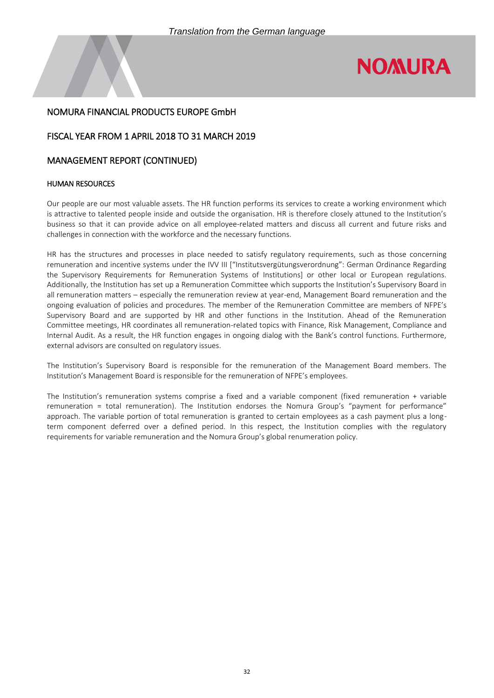#### NOMURA FINANCIAL PRODUCTS EUROPE GmbH

## FISCAL YEAR FROM 1 APRIL 2018 TO 31 MARCH 2019

### MANAGEMENT REPORT (CONTINUED)

#### HUMAN RESOURCES

I

Our people are our most valuable assets. The HR function performs its services to create a working environment which is attractive to talented people inside and outside the organisation. HR is therefore closely attuned to the Institution's business so that it can provide advice on all employee-related matters and discuss all current and future risks and challenges in connection with the workforce and the necessary functions.

HR has the structures and processes in place needed to satisfy regulatory requirements, such as those concerning remuneration and incentive systems under the IVV III ["Institutsvergütungsverordnung": German Ordinance Regarding the Supervisory Requirements for Remuneration Systems of Institutions] or other local or European regulations. Additionally, the Institution has set up a Remuneration Committee which supports the Institution's Supervisory Board in all remuneration matters – especially the remuneration review at year-end, Management Board remuneration and the ongoing evaluation of policies and procedures. The member of the Remuneration Committee are members of NFPE's Supervisory Board and are supported by HR and other functions in the Institution. Ahead of the Remuneration Committee meetings, HR coordinates all remuneration-related topics with Finance, Risk Management, Compliance and Internal Audit. As a result, the HR function engages in ongoing dialog with the Bank's control functions. Furthermore, external advisors are consulted on regulatory issues.

The Institution's Supervisory Board is responsible for the remuneration of the Management Board members. The Institution's Management Board is responsible for the remuneration of NFPE's employees.

The Institution's remuneration systems comprise a fixed and a variable component (fixed remuneration + variable remuneration = total remuneration). The Institution endorses the Nomura Group's "payment for performance" approach. The variable portion of total remuneration is granted to certain employees as a cash payment plus a longterm component deferred over a defined period. In this respect, the Institution complies with the regulatory requirements for variable remuneration and the Nomura Group's global renumeration policy.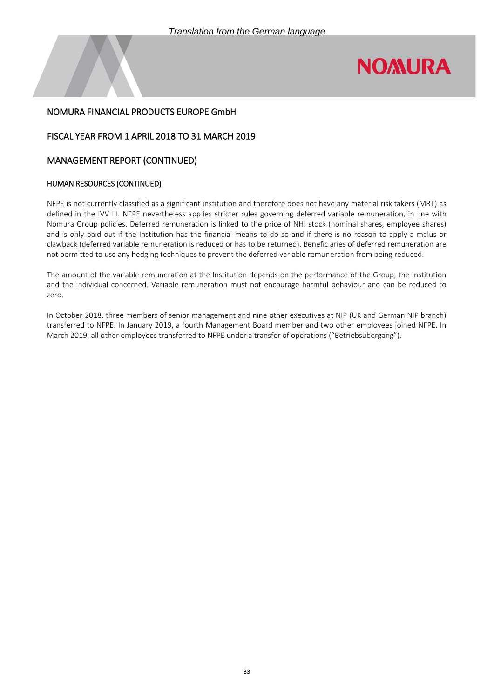#### NOMURA FINANCIAL PRODUCTS EUROPE GmbH

## FISCAL YEAR FROM 1 APRIL 2018 TO 31 MARCH 2019

#### MANAGEMENT REPORT (CONTINUED)

#### HUMAN RESOURCES (CONTINUED)

I

NFPE is not currently classified as a significant institution and therefore does not have any material risk takers (MRT) as defined in the IVV III. NFPE nevertheless applies stricter rules governing deferred variable remuneration, in line with Nomura Group policies. Deferred remuneration is linked to the price of NHI stock (nominal shares, employee shares) and is only paid out if the Institution has the financial means to do so and if there is no reason to apply a malus or clawback (deferred variable remuneration is reduced or has to be returned). Beneficiaries of deferred remuneration are not permitted to use any hedging techniques to prevent the deferred variable remuneration from being reduced.

The amount of the variable remuneration at the Institution depends on the performance of the Group, the Institution and the individual concerned. Variable remuneration must not encourage harmful behaviour and can be reduced to zero.

In October 2018, three members of senior management and nine other executives at NIP (UK and German NIP branch) transferred to NFPE. In January 2019, a fourth Management Board member and two other employees joined NFPE. In March 2019, all other employees transferred to NFPE under a transfer of operations ("Betriebsübergang").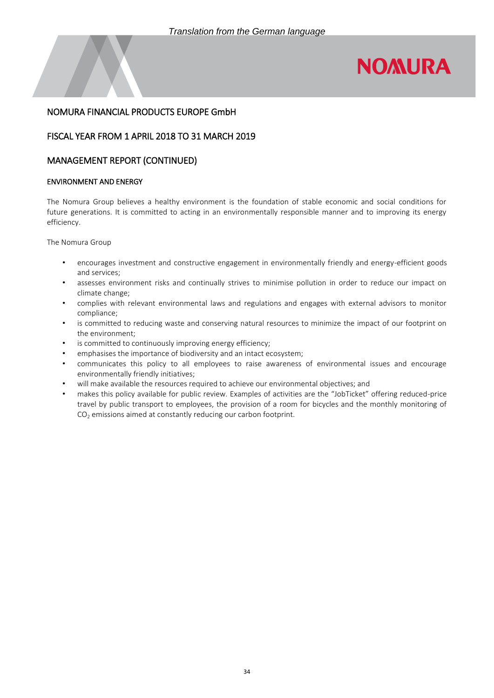## NOMURA FINANCIAL PRODUCTS EUROPE GmbH

## FISCAL YEAR FROM 1 APRIL 2018 TO 31 MARCH 2019

#### MANAGEMENT REPORT (CONTINUED)

#### ENVIRONMENT AND ENERGY

The Nomura Group believes a healthy environment is the foundation of stable economic and social conditions for future generations. It is committed to acting in an environmentally responsible manner and to improving its energy efficiency.

The Nomura Group

I

- encourages investment and constructive engagement in environmentally friendly and energy-efficient goods and services;
- assesses environment risks and continually strives to minimise pollution in order to reduce our impact on climate change;
- complies with relevant environmental laws and regulations and engages with external advisors to monitor compliance;
- is committed to reducing waste and conserving natural resources to minimize the impact of our footprint on the environment;
- is committed to continuously improving energy efficiency;
- emphasises the importance of biodiversity and an intact ecosystem;
- communicates this policy to all employees to raise awareness of environmental issues and encourage environmentally friendly initiatives;
- will make available the resources required to achieve our environmental objectives; and
- makes this policy available for public review. Examples of activities are the "JobTicket" offering reduced-price travel by public transport to employees, the provision of a room for bicycles and the monthly monitoring of  $CO<sub>2</sub>$  emissions aimed at constantly reducing our carbon footprint.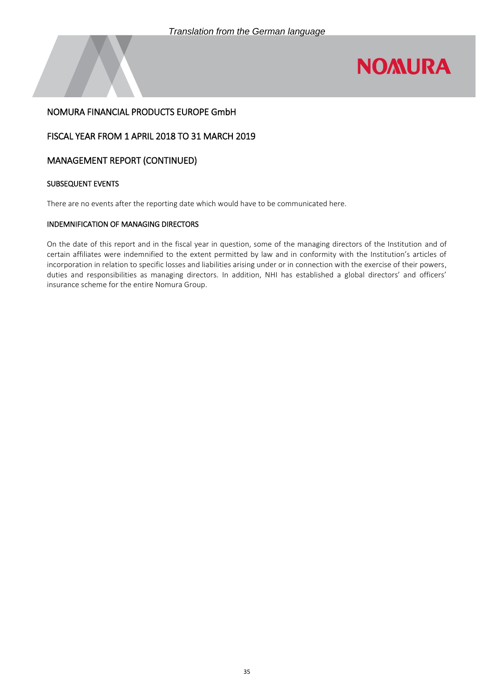## NOMURA FINANCIAL PRODUCTS EUROPE GmbH

## FISCAL YEAR FROM 1 APRIL 2018 TO 31 MARCH 2019

### MANAGEMENT REPORT (CONTINUED)

#### SUBSEQUENT EVENTS

I

There are no events after the reporting date which would have to be communicated here.

#### INDEMNIFICATION OF MANAGING DIRECTORS

On the date of this report and in the fiscal year in question, some of the managing directors of the Institution and of certain affiliates were indemnified to the extent permitted by law and in conformity with the Institution's articles of incorporation in relation to specific losses and liabilities arising under or in connection with the exercise of their powers, duties and responsibilities as managing directors. In addition, NHI has established a global directors' and officers' insurance scheme for the entire Nomura Group.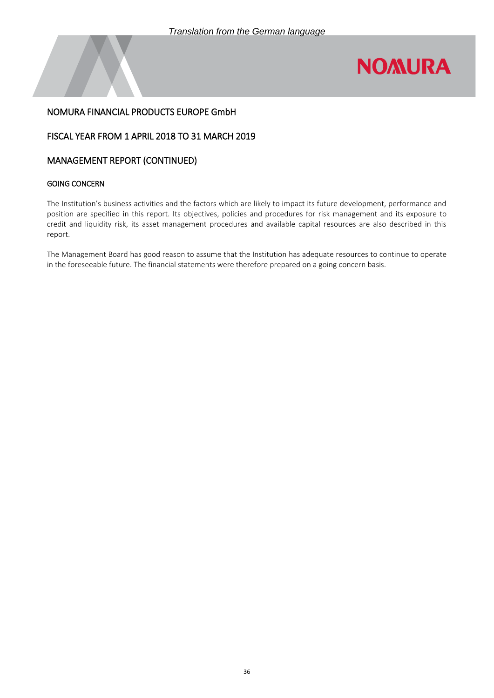## NOMURA FINANCIAL PRODUCTS EUROPE GmbH

## FISCAL YEAR FROM 1 APRIL 2018 TO 31 MARCH 2019

### MANAGEMENT REPORT (CONTINUED)

#### GOING CONCERN

I

The Institution's business activities and the factors which are likely to impact its future development, performance and position are specified in this report. Its objectives, policies and procedures for risk management and its exposure to credit and liquidity risk, its asset management procedures and available capital resources are also described in this report.

The Management Board has good reason to assume that the Institution has adequate resources to continue to operate in the foreseeable future. The financial statements were therefore prepared on a going concern basis.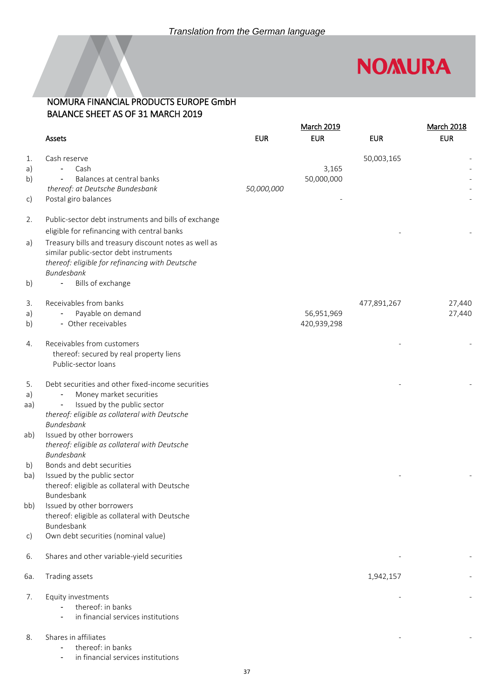## <span id="page-37-0"></span>NOMURA FINANCIAL PRODUCTS EUROPE GmbH BALANCE SHEET AS OF 31 MARCH 2019

|                 |                                                                                                                                                                                   | <b>March 2019</b> |                           |             | <b>March 2018</b> |
|-----------------|-----------------------------------------------------------------------------------------------------------------------------------------------------------------------------------|-------------------|---------------------------|-------------|-------------------|
|                 | Assets                                                                                                                                                                            | <b>EUR</b>        | <b>EUR</b>                | <b>EUR</b>  | <b>EUR</b>        |
| 1.<br>a)<br>b)  | Cash reserve<br>Cash<br>$\overline{\phantom{a}}$<br>Balances at central banks                                                                                                     |                   | 3,165<br>50,000,000       | 50,003,165  |                   |
| C)              | thereof: at Deutsche Bundesbank<br>Postal giro balances                                                                                                                           | 50,000,000        |                           |             |                   |
| 2.              | Public-sector debt instruments and bills of exchange<br>eligible for refinancing with central banks                                                                               |                   |                           |             |                   |
| a)              | Treasury bills and treasury discount notes as well as<br>similar public-sector debt instruments<br>thereof: eligible for refinancing with Deutsche<br><b>Bundesbank</b>           |                   |                           |             |                   |
| b)              | Bills of exchange<br>$\blacksquare$                                                                                                                                               |                   |                           |             |                   |
| 3.<br>a)<br>b)  | Receivables from banks<br>Payable on demand<br>- Other receivables                                                                                                                |                   | 56,951,969<br>420,939,298 | 477,891,267 | 27,440<br>27,440  |
| 4.              | Receivables from customers<br>thereof: secured by real property liens<br>Public-sector loans                                                                                      |                   |                           |             |                   |
| 5.<br>a)<br>aa) | Debt securities and other fixed-income securities<br>Money market securities<br>Issued by the public sector<br>thereof: eligible as collateral with Deutsche<br><b>Bundesbank</b> |                   |                           |             |                   |
| ab)             | Issued by other borrowers<br>thereof: eligible as collateral with Deutsche<br><b>Bundesbank</b>                                                                                   |                   |                           |             |                   |
| b)<br>ba)       | Bonds and debt securities<br>Issued by the public sector<br>thereof: eligible as collateral with Deutsche<br>Bundesbank                                                           |                   |                           |             |                   |
| bb)             | Issued by other borrowers<br>thereof: eligible as collateral with Deutsche<br>Bundesbank                                                                                          |                   |                           |             |                   |
| $\mathsf{c})$   | Own debt securities (nominal value)                                                                                                                                               |                   |                           |             |                   |
| 6.              | Shares and other variable-yield securities                                                                                                                                        |                   |                           |             |                   |
| 6a.             | Trading assets                                                                                                                                                                    |                   |                           | 1,942,157   |                   |
| 7.              | Equity investments<br>thereof: in banks<br>in financial services institutions                                                                                                     |                   |                           |             |                   |
| 8.              | Shares in affiliates<br>thereof: in banks<br>in financial services institutions                                                                                                   |                   |                           |             |                   |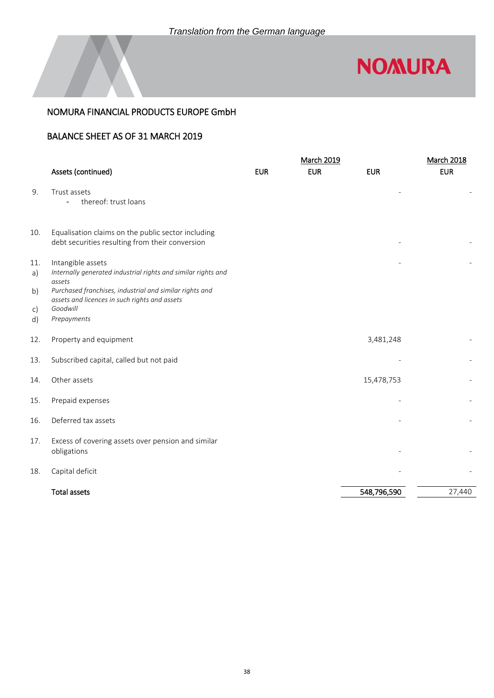# NOMURA FINANCIAL PRODUCTS EUROPE GmbH

# BALANCE SHEET AS OF 31 MARCH 2019

I

|                             |                                                                                                                                                                                                                                     |            | <b>March 2019</b> |             | <b>March 2018</b> |
|-----------------------------|-------------------------------------------------------------------------------------------------------------------------------------------------------------------------------------------------------------------------------------|------------|-------------------|-------------|-------------------|
|                             | Assets (continued)                                                                                                                                                                                                                  | <b>EUR</b> | <b>EUR</b>        | <b>EUR</b>  | <b>EUR</b>        |
| 9.                          | Trust assets<br>thereof: trust loans<br>$\overline{\phantom{a}}$                                                                                                                                                                    |            |                   |             |                   |
| 10.                         | Equalisation claims on the public sector including<br>debt securities resulting from their conversion                                                                                                                               |            |                   |             |                   |
| 11.<br>a)<br>b)<br>c)<br>d) | Intangible assets<br>Internally generated industrial rights and similar rights and<br>assets<br>Purchased franchises, industrial and similar rights and<br>assets and licences in such rights and assets<br>Goodwill<br>Prepayments |            |                   |             |                   |
| 12.                         | Property and equipment                                                                                                                                                                                                              |            |                   | 3,481,248   |                   |
| 13.                         | Subscribed capital, called but not paid                                                                                                                                                                                             |            |                   |             |                   |
| 14.                         | Other assets                                                                                                                                                                                                                        |            |                   | 15,478,753  |                   |
| 15.                         | Prepaid expenses                                                                                                                                                                                                                    |            |                   |             |                   |
| 16.                         | Deferred tax assets                                                                                                                                                                                                                 |            |                   |             |                   |
| 17.                         | Excess of covering assets over pension and similar<br>obligations                                                                                                                                                                   |            |                   |             |                   |
| 18.                         | Capital deficit                                                                                                                                                                                                                     |            |                   |             |                   |
|                             | <b>Total assets</b>                                                                                                                                                                                                                 |            |                   | 548,796,590 | 27,440            |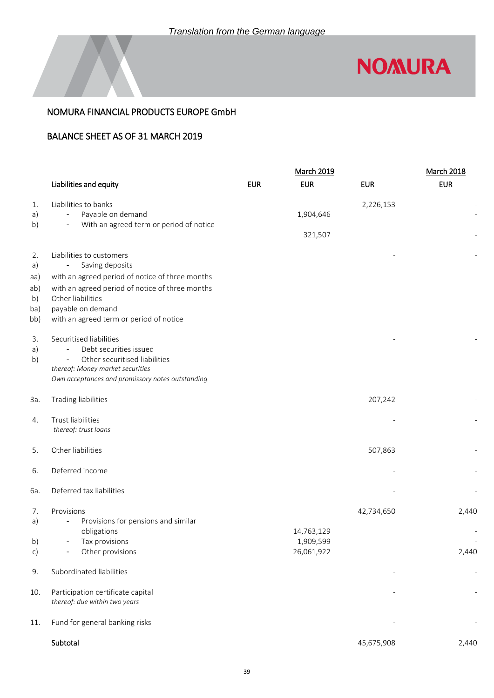# NOMURA FINANCIAL PRODUCTS EUROPE GmbH

# BALANCE SHEET AS OF 31 MARCH 2019

I

|     |                                                                                               |            | <b>March 2019</b> |            | <b>March 2018</b> |
|-----|-----------------------------------------------------------------------------------------------|------------|-------------------|------------|-------------------|
|     | Liabilities and equity                                                                        | <b>EUR</b> | <b>EUR</b>        | <b>EUR</b> | <b>EUR</b>        |
| 1.  | Liabilities to banks                                                                          |            |                   | 2,226,153  |                   |
| a)  | Payable on demand<br>$\overline{\phantom{a}}$                                                 |            | 1,904,646         |            |                   |
| b)  | With an agreed term or period of notice                                                       |            | 321,507           |            |                   |
| 2.  | Liabilities to customers                                                                      |            |                   |            |                   |
| a)  | Saving deposits<br>-                                                                          |            |                   |            |                   |
| aa) | with an agreed period of notice of three months                                               |            |                   |            |                   |
| ab) | with an agreed period of notice of three months                                               |            |                   |            |                   |
| b)  | Other liabilities                                                                             |            |                   |            |                   |
| ba) | payable on demand                                                                             |            |                   |            |                   |
| bb) | with an agreed term or period of notice                                                       |            |                   |            |                   |
| 3.  | Securitised liabilities                                                                       |            |                   |            |                   |
| a)  | Debt securities issued                                                                        |            |                   |            |                   |
| b)  | Other securitised liabilities<br>$\overline{\phantom{a}}$<br>thereof: Money market securities |            |                   |            |                   |
|     | Own acceptances and promissory notes outstanding                                              |            |                   |            |                   |
|     |                                                                                               |            |                   |            |                   |
| За. | Trading liabilities                                                                           |            |                   | 207,242    |                   |
| 4.  | <b>Trust liabilities</b>                                                                      |            |                   |            |                   |
|     | thereof: trust loans                                                                          |            |                   |            |                   |
| 5.  | Other liabilities                                                                             |            |                   | 507,863    |                   |
| 6.  | Deferred income                                                                               |            |                   |            |                   |
| 6a. | Deferred tax liabilities                                                                      |            |                   |            |                   |
| 7.  | Provisions                                                                                    |            |                   | 42,734,650 | 2,440             |
| a)  | Provisions for pensions and similar                                                           |            |                   |            |                   |
|     | obligations                                                                                   |            | 14,763,129        |            |                   |
| b)  | Tax provisions                                                                                |            | 1,909,599         |            |                   |
| c)  | Other provisions                                                                              |            | 26,061,922        |            | 2,440             |
| 9.  | Subordinated liabilities                                                                      |            |                   |            |                   |
| 10. | Participation certificate capital                                                             |            |                   |            |                   |
|     | thereof: due within two years                                                                 |            |                   |            |                   |
| 11. | Fund for general banking risks                                                                |            |                   |            |                   |
|     | Subtotal                                                                                      |            |                   | 45,675,908 | 2,440             |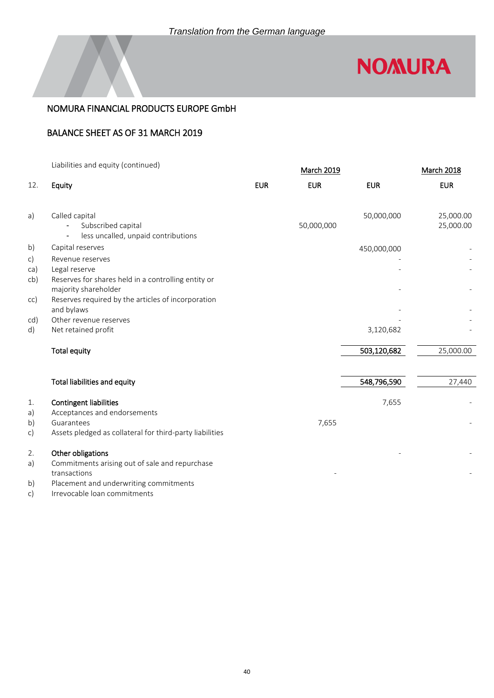# NOMURA FINANCIAL PRODUCTS EUROPE GmbH

# BALANCE SHEET AS OF 31 MARCH 2019

Liabilities and equity (continued) March 2019 March 2018

| 12.          | Equity                                                                      | <b>EUR</b> | <b>EUR</b> | <b>EUR</b>  | <b>EUR</b>             |
|--------------|-----------------------------------------------------------------------------|------------|------------|-------------|------------------------|
| a)           | Called capital<br>Subscribed capital<br>less uncalled, unpaid contributions |            | 50,000,000 | 50,000,000  | 25,000.00<br>25,000.00 |
| b)           | Capital reserves                                                            |            |            | 450,000,000 |                        |
| $\mathsf{C}$ | Revenue reserves                                                            |            |            |             |                        |
| ca)          | Legal reserve                                                               |            |            |             |                        |
| cb)          | Reserves for shares held in a controlling entity or                         |            |            |             |                        |
|              | majority shareholder                                                        |            |            |             |                        |
| cc)          | Reserves required by the articles of incorporation                          |            |            |             |                        |
|              | and bylaws                                                                  |            |            |             |                        |
| cd)          | Other revenue reserves                                                      |            |            |             |                        |
| d)           | Net retained profit                                                         |            |            | 3,120,682   |                        |
|              | <b>Total equity</b>                                                         |            |            | 503,120,682 | 25,000.00              |
|              | Total liabilities and equity                                                |            |            | 548,796,590 | 27,440                 |
| 1.<br>a)     | <b>Contingent liabilities</b><br>Acceptances and endorsements               |            |            | 7,655       |                        |
| b)           | Guarantees                                                                  |            | 7,655      |             |                        |
| C)           | Assets pledged as collateral for third-party liabilities                    |            |            |             |                        |
| 2.           | Other obligations                                                           |            |            |             |                        |
| a)           | Commitments arising out of sale and repurchase                              |            |            |             |                        |
|              | transactions                                                                |            |            |             |                        |
| b)           | Placement and underwriting commitments                                      |            |            |             |                        |
| c)           | Irrevocable loan commitments                                                |            |            |             |                        |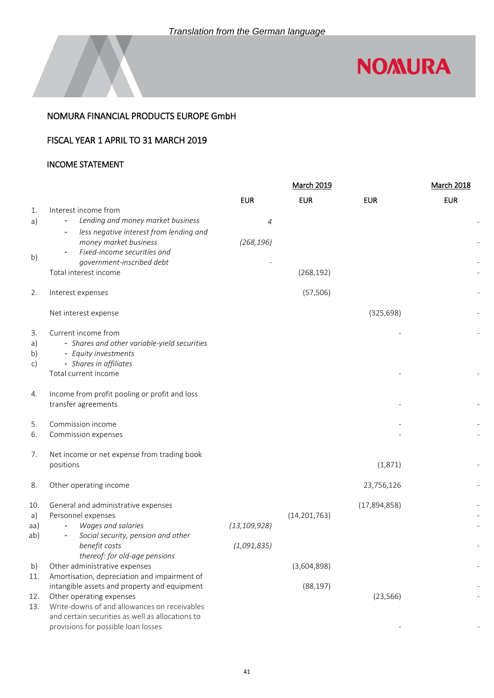# NOMURA FINANCIAL PRODUCTS EUROPE GmbH

# FISCAL YEAR 1 APRIL TO 31 MARCH 2019

### <span id="page-41-0"></span>INCOME STATEMENT

|     |                                                     |                | <b>March 2019</b> |              | <b>March 2018</b> |
|-----|-----------------------------------------------------|----------------|-------------------|--------------|-------------------|
|     |                                                     | <b>EUR</b>     | <b>EUR</b>        | <b>EUR</b>   | <b>EUR</b>        |
| 1.  | Interest income from                                |                |                   |              |                   |
| a)  | Lending and money market business                   | 4              |                   |              |                   |
|     | less negative interest from lending and             |                |                   |              |                   |
|     | money market business                               | (268, 196)     |                   |              |                   |
| b)  | Fixed-income securities and                         |                |                   |              |                   |
|     | government-inscribed debt                           |                |                   |              |                   |
|     | Total interest income                               |                | (268, 192)        |              |                   |
| 2.  | Interest expenses                                   |                | (57, 506)         |              |                   |
|     | Net interest expense                                |                |                   | (325, 698)   |                   |
| 3.  | Current income from                                 |                |                   |              |                   |
| a)  | - Shares and other variable-yield securities        |                |                   |              |                   |
| b)  | - Equity investments                                |                |                   |              |                   |
| c)  | - Shares in affiliates                              |                |                   |              |                   |
|     | Total current income                                |                |                   |              |                   |
| 4.  | Income from profit pooling or profit and loss       |                |                   |              |                   |
|     | transfer agreements                                 |                |                   |              |                   |
| 5.  | Commission income                                   |                |                   |              |                   |
| 6.  | Commission expenses                                 |                |                   |              |                   |
| 7.  | Net income or net expense from trading book         |                |                   |              |                   |
|     | positions                                           |                |                   | (1,871)      |                   |
| 8.  | Other operating income                              |                |                   | 23,756,126   |                   |
|     |                                                     |                |                   |              |                   |
| 10. | General and administrative expenses                 |                |                   | (17,894,858) |                   |
| a)  | Personnel expenses                                  |                | (14, 201, 763)    |              |                   |
| aa) | Wages and salaries                                  | (13, 109, 928) |                   |              |                   |
| ab) | Social security, pension and other<br>benefit costs | (1,091,835)    |                   |              |                   |
|     | thereof: for old-age pensions                       |                |                   |              |                   |
| b)  | Other administrative expenses                       |                | (3,604,898)       |              |                   |
| 11. | Amortisation, depreciation and impairment of        |                |                   |              |                   |
|     | intangible assets and property and equipment        |                | (88, 197)         |              |                   |
| 12. | Other operating expenses                            |                |                   | (23, 566)    |                   |
| 13. | Write-downs of and allowances on receivables        |                |                   |              |                   |
|     | and certain securities as well as allocations to    |                |                   |              |                   |
|     | provisions for possible loan losses                 |                |                   |              |                   |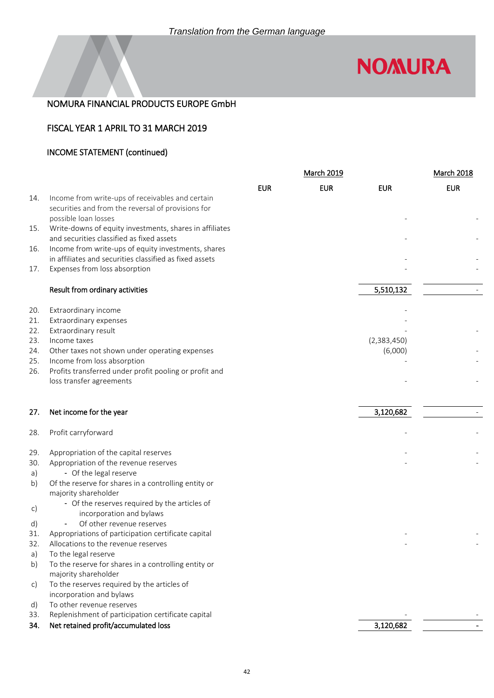## NOMURA FINANCIAL PRODUCTS EUROPE GmbH

## FISCAL YEAR 1 APRIL TO 31 MARCH 2019

# INCOME STATEMENT (continued)

|              |                                                                                                  |            | <b>March 2019</b> |             | <b>March 2018</b> |
|--------------|--------------------------------------------------------------------------------------------------|------------|-------------------|-------------|-------------------|
|              |                                                                                                  | <b>EUR</b> | <b>EUR</b>        | <b>EUR</b>  | <b>EUR</b>        |
| 14.          | Income from write-ups of receivables and certain                                                 |            |                   |             |                   |
|              | securities and from the reversal of provisions for                                               |            |                   |             |                   |
|              | possible loan losses                                                                             |            |                   |             |                   |
| 15.          | Write-downs of equity investments, shares in affiliates                                          |            |                   |             |                   |
| 16.          | and securities classified as fixed assets<br>Income from write-ups of equity investments, shares |            |                   |             |                   |
|              | in affiliates and securities classified as fixed assets                                          |            |                   |             |                   |
| 17.          | Expenses from loss absorption                                                                    |            |                   |             |                   |
|              |                                                                                                  |            |                   |             |                   |
|              | Result from ordinary activities                                                                  |            |                   | 5,510,132   |                   |
| 20.          | Extraordinary income                                                                             |            |                   |             |                   |
| 21.          | Extraordinary expenses                                                                           |            |                   |             |                   |
| 22.          | Extraordinary result                                                                             |            |                   |             |                   |
| 23.          | Income taxes                                                                                     |            |                   | (2,383,450) |                   |
| 24.          | Other taxes not shown under operating expenses                                                   |            |                   | (6,000)     |                   |
| 25.          | Income from loss absorption                                                                      |            |                   |             |                   |
| 26.          | Profits transferred under profit pooling or profit and<br>loss transfer agreements               |            |                   |             |                   |
|              |                                                                                                  |            |                   |             |                   |
| 27.          | Net income for the year                                                                          |            |                   | 3,120,682   |                   |
|              |                                                                                                  |            |                   |             |                   |
| 28.          | Profit carryforward                                                                              |            |                   |             |                   |
| 29.          | Appropriation of the capital reserves                                                            |            |                   |             |                   |
| 30.          | Appropriation of the revenue reserves                                                            |            |                   |             |                   |
| a)           | - Of the legal reserve                                                                           |            |                   |             |                   |
| b)           | Of the reserve for shares in a controlling entity or                                             |            |                   |             |                   |
|              | majority shareholder                                                                             |            |                   |             |                   |
| C)           | - Of the reserves required by the articles of<br>incorporation and bylaws                        |            |                   |             |                   |
| $\mathsf{d}$ | Of other revenue reserves                                                                        |            |                   |             |                   |
| 31.          | Appropriations of participation certificate capital                                              |            |                   |             |                   |
| 32.          | Allocations to the revenue reserves                                                              |            |                   |             |                   |
| a)           | To the legal reserve                                                                             |            |                   |             |                   |
| b)           | To the reserve for shares in a controlling entity or                                             |            |                   |             |                   |
|              | majority shareholder                                                                             |            |                   |             |                   |
| c)           | To the reserves required by the articles of                                                      |            |                   |             |                   |
|              | incorporation and bylaws                                                                         |            |                   |             |                   |
| $\mathsf{d}$ | To other revenue reserves                                                                        |            |                   |             |                   |
| 33.<br>34.   | Replenishment of participation certificate capital<br>Net retained profit/accumulated loss       |            |                   | 3,120,682   |                   |
|              |                                                                                                  |            |                   |             |                   |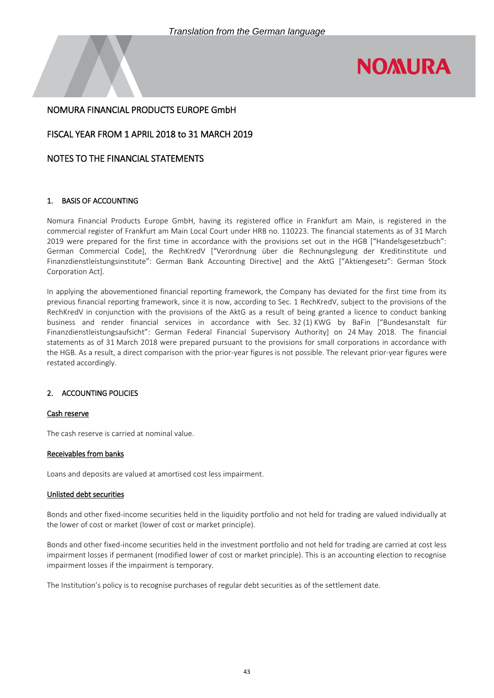#### NOMURA FINANCIAL PRODUCTS EUROPE GmbH

#### FISCAL YEAR FROM 1 APRIL 2018 to 31 MARCH 2019

#### <span id="page-43-0"></span>NOTES TO THE FINANCIAL STATEMENTS

#### 1. BASIS OF ACCOUNTING

l

Nomura Financial Products Europe GmbH, having its registered office in Frankfurt am Main, is registered in the commercial register of Frankfurt am Main Local Court under HRB no. 110223. The financial statements as of 31 March 2019 were prepared for the first time in accordance with the provisions set out in the HGB ["Handelsgesetzbuch": German Commercial Code], the RechKredV ["Verordnung über die Rechnungslegung der Kreditinstitute und Finanzdienstleistungsinstitute": German Bank Accounting Directive] and the AktG ["Aktiengesetz": German Stock Corporation Act].

In applying the abovementioned financial reporting framework, the Company has deviated for the first time from its previous financial reporting framework, since it is now, according to Sec. 1 RechKredV, subject to the provisions of the RechKredV in conjunction with the provisions of the AktG as a result of being granted a licence to conduct banking business and render financial services in accordance with Sec. 32 (1) KWG by BaFin ["Bundesanstalt für Finanzdienstleistungsaufsicht": German Federal Financial Supervisory Authority] on 24 May 2018. The financial statements as of 31 March 2018 were prepared pursuant to the provisions for small corporations in accordance with the HGB. As a result, a direct comparison with the prior-year figures is not possible. The relevant prior-year figures were restated accordingly.

#### 2. ACCOUNTING POLICIES

#### Cash reserve

The cash reserve is carried at nominal value.

#### Receivables from banks

Loans and deposits are valued at amortised cost less impairment.

#### Unlisted debt securities

Bonds and other fixed-income securities held in the liquidity portfolio and not held for trading are valued individually at the lower of cost or market (lower of cost or market principle).

Bonds and other fixed-income securities held in the investment portfolio and not held for trading are carried at cost less impairment losses if permanent (modified lower of cost or market principle). This is an accounting election to recognise impairment losses if the impairment is temporary.

The Institution's policy is to recognise purchases of regular debt securities as of the settlement date.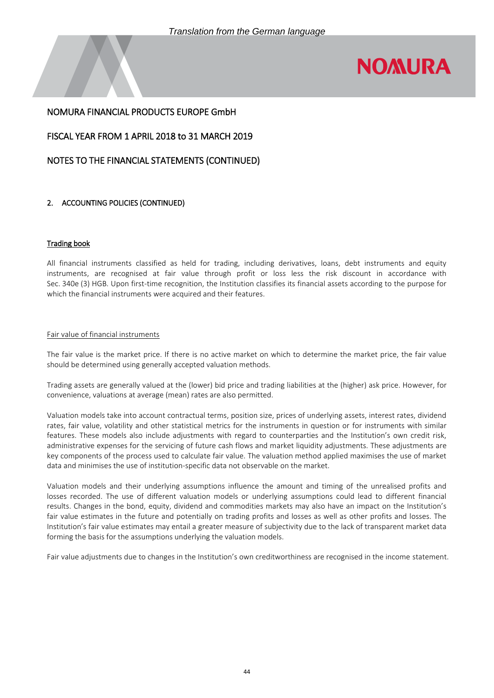### NOMURA FINANCIAL PRODUCTS EUROPE GmbH

## FISCAL YEAR FROM 1 APRIL 2018 to 31 MARCH 2019

### NOTES TO THE FINANCIAL STATEMENTS (CONTINUED)

#### 2. ACCOUNTING POLICIES (CONTINUED)

#### Trading book

I

All financial instruments classified as held for trading, including derivatives, loans, debt instruments and equity instruments, are recognised at fair value through profit or loss less the risk discount in accordance with Sec. 340e (3) HGB. Upon first-time recognition, the Institution classifies its financial assets according to the purpose for which the financial instruments were acquired and their features.

#### Fair value of financial instruments

The fair value is the market price. If there is no active market on which to determine the market price, the fair value should be determined using generally accepted valuation methods.

Trading assets are generally valued at the (lower) bid price and trading liabilities at the (higher) ask price. However, for convenience, valuations at average (mean) rates are also permitted.

Valuation models take into account contractual terms, position size, prices of underlying assets, interest rates, dividend rates, fair value, volatility and other statistical metrics for the instruments in question or for instruments with similar features. These models also include adjustments with regard to counterparties and the Institution's own credit risk, administrative expenses for the servicing of future cash flows and market liquidity adjustments. These adjustments are key components of the process used to calculate fair value. The valuation method applied maximises the use of market data and minimises the use of institution-specific data not observable on the market.

Valuation models and their underlying assumptions influence the amount and timing of the unrealised profits and losses recorded. The use of different valuation models or underlying assumptions could lead to different financial results. Changes in the bond, equity, dividend and commodities markets may also have an impact on the Institution's fair value estimates in the future and potentially on trading profits and losses as well as other profits and losses. The Institution's fair value estimates may entail a greater measure of subjectivity due to the lack of transparent market data forming the basis for the assumptions underlying the valuation models.

Fair value adjustments due to changes in the Institution's own creditworthiness are recognised in the income statement.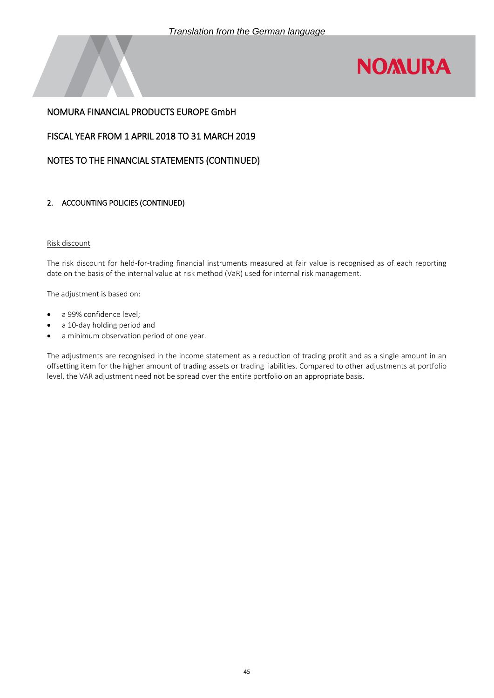## NOMURA FINANCIAL PRODUCTS EUROPE GmbH

## FISCAL YEAR FROM 1 APRIL 2018 TO 31 MARCH 2019

## NOTES TO THE FINANCIAL STATEMENTS (CONTINUED)

### 2. ACCOUNTING POLICIES (CONTINUED)

#### Risk discount

I

The risk discount for held-for-trading financial instruments measured at fair value is recognised as of each reporting date on the basis of the internal value at risk method (VaR) used for internal risk management.

The adjustment is based on:

- a 99% confidence level;
- a 10-day holding period and
- a minimum observation period of one year.

The adjustments are recognised in the income statement as a reduction of trading profit and as a single amount in an offsetting item for the higher amount of trading assets or trading liabilities. Compared to other adjustments at portfolio level, the VAR adjustment need not be spread over the entire portfolio on an appropriate basis.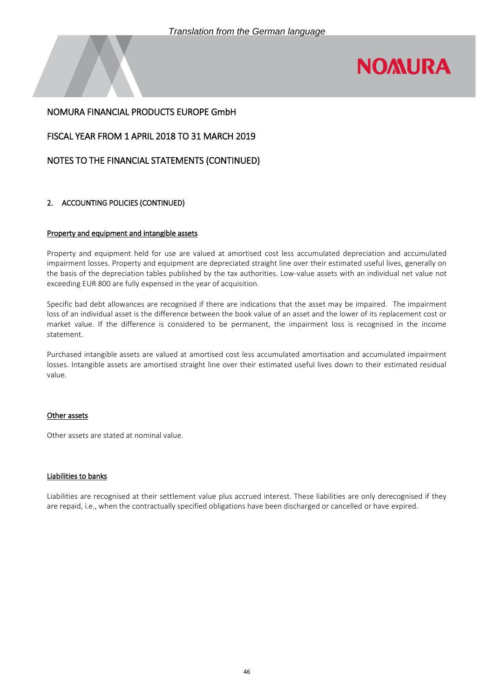#### NOMURA FINANCIAL PRODUCTS EUROPE GmbH

#### FISCAL YEAR FROM 1 APRIL 2018 TO 31 MARCH 2019

#### NOTES TO THE FINANCIAL STATEMENTS (CONTINUED)

#### 2. ACCOUNTING POLICIES (CONTINUED)

#### Property and equipment and intangible assets

Property and equipment held for use are valued at amortised cost less accumulated depreciation and accumulated impairment losses. Property and equipment are depreciated straight line over their estimated useful lives, generally on the basis of the depreciation tables published by the tax authorities. Low-value assets with an individual net value not exceeding EUR 800 are fully expensed in the year of acquisition.

Specific bad debt allowances are recognised if there are indications that the asset may be impaired. The impairment loss of an individual asset is the difference between the book value of an asset and the lower of its replacement cost or market value. If the difference is considered to be permanent, the impairment loss is recognised in the income statement.

Purchased intangible assets are valued at amortised cost less accumulated amortisation and accumulated impairment losses. Intangible assets are amortised straight line over their estimated useful lives down to their estimated residual value.

#### Other assets

I

Other assets are stated at nominal value.

#### Liabilities to banks

Liabilities are recognised at their settlement value plus accrued interest. These liabilities are only derecognised if they are repaid, i.e., when the contractually specified obligations have been discharged or cancelled or have expired.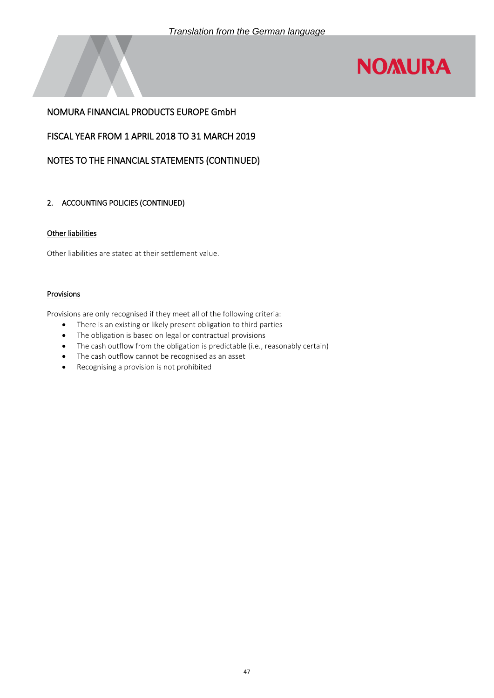## NOMURA FINANCIAL PRODUCTS EUROPE GmbH

## FISCAL YEAR FROM 1 APRIL 2018 TO 31 MARCH 2019

## NOTES TO THE FINANCIAL STATEMENTS (CONTINUED)

### 2. ACCOUNTING POLICIES (CONTINUED)

#### Other liabilities

I

Other liabilities are stated at their settlement value.

#### **Provisions**

Provisions are only recognised if they meet all of the following criteria:

- There is an existing or likely present obligation to third parties
- The obligation is based on legal or contractual provisions
- The cash outflow from the obligation is predictable (i.e., reasonably certain)
- The cash outflow cannot be recognised as an asset
- Recognising a provision is not prohibited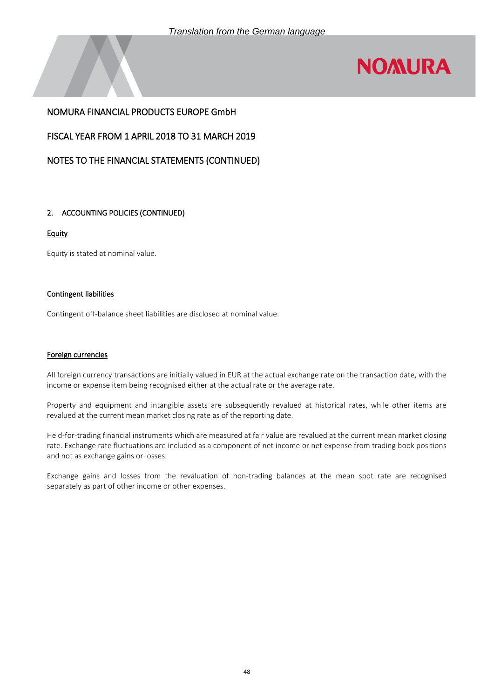#### NOMURA FINANCIAL PRODUCTS EUROPE GmbH

FISCAL YEAR FROM 1 APRIL 2018 TO 31 MARCH 2019

NOTES TO THE FINANCIAL STATEMENTS (CONTINUED)

#### 2. ACCOUNTING POLICIES (CONTINUED)

#### **Equity**

I

Equity is stated at nominal value.

#### Contingent liabilities

Contingent off-balance sheet liabilities are disclosed at nominal value.

#### Foreign currencies

All foreign currency transactions are initially valued in EUR at the actual exchange rate on the transaction date, with the income or expense item being recognised either at the actual rate or the average rate.

Property and equipment and intangible assets are subsequently revalued at historical rates, while other items are revalued at the current mean market closing rate as of the reporting date.

Held-for-trading financial instruments which are measured at fair value are revalued at the current mean market closing rate. Exchange rate fluctuations are included as a component of net income or net expense from trading book positions and not as exchange gains or losses.

Exchange gains and losses from the revaluation of non-trading balances at the mean spot rate are recognised separately as part of other income or other expenses.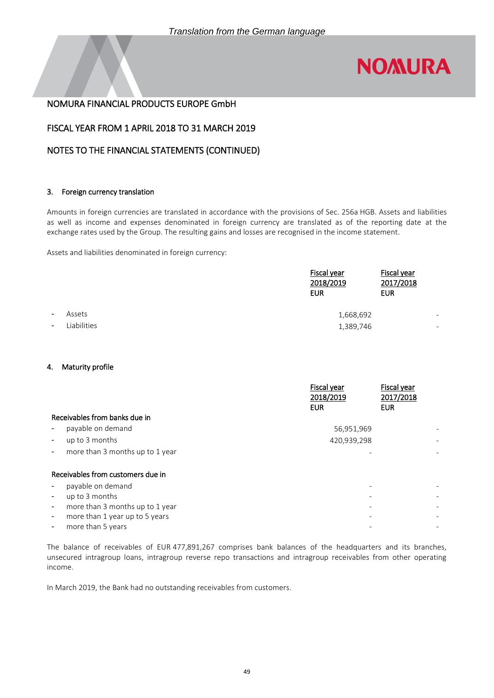## NOMURA FINANCIAL PRODUCTS EUROPE GmbH

## FISCAL YEAR FROM 1 APRIL 2018 TO 31 MARCH 2019

### NOTES TO THE FINANCIAL STATEMENTS (CONTINUED)

#### 3. Foreign currency translation

Amounts in foreign currencies are translated in accordance with the provisions of Sec. 256a HGB. Assets and liabilities as well as income and expenses denominated in foreign currency are translated as of the reporting date at the exchange rates used by the Group. The resulting gains and losses are recognised in the income statement.

Assets and liabilities denominated in foreign currency:

|    |                    | Fiscal year<br>2018/2019<br><b>EUR</b> | Fiscal year<br>2017/2018<br><b>EUR</b> |   |
|----|--------------------|----------------------------------------|----------------------------------------|---|
| ٠. | Assets             | 1,668,692                              |                                        | - |
| ۰. | <b>Liabilities</b> | 1,389,746                              |                                        | - |

#### 4. Maturity profile

|                          |                                   | <b>Fiscal vear</b><br>2018/2019<br><b>EUR</b> | Fiscal year<br>2017/2018<br><b>EUR</b> |  |
|--------------------------|-----------------------------------|-----------------------------------------------|----------------------------------------|--|
|                          | Receivables from banks due in     |                                               |                                        |  |
|                          | payable on demand                 | 56,951,969                                    |                                        |  |
| $\blacksquare$           | up to 3 months                    | 420,939,298                                   |                                        |  |
| $\blacksquare$           | more than 3 months up to 1 year   |                                               |                                        |  |
|                          | Receivables from customers due in |                                               |                                        |  |
| $\overline{\phantom{a}}$ | payable on demand                 |                                               |                                        |  |
| $\blacksquare$           | up to 3 months                    |                                               |                                        |  |
| $\blacksquare$           | more than 3 months up to 1 year   |                                               |                                        |  |
| $\overline{\phantom{a}}$ | more than 1 year up to 5 years    |                                               |                                        |  |
| ٠                        | more than 5 years                 |                                               |                                        |  |

The balance of receivables of EUR 477,891,267 comprises bank balances of the headquarters and its branches, unsecured intragroup loans, intragroup reverse repo transactions and intragroup receivables from other operating income.

In March 2019, the Bank had no outstanding receivables from customers.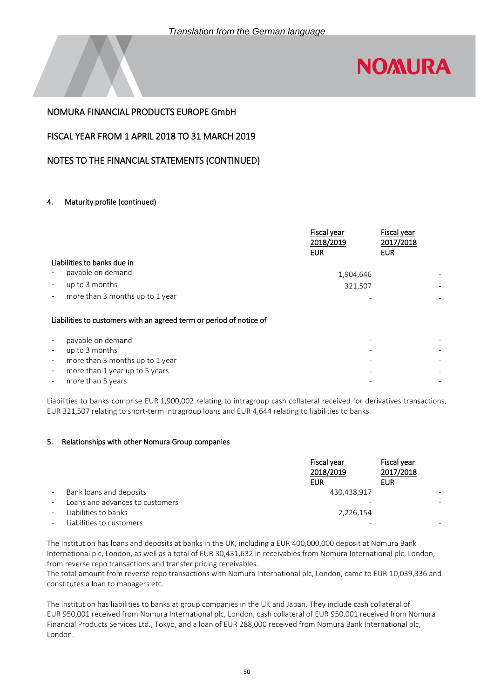#### NOMURA FINANCIAL PRODUCTS EUROPE GmbH

## FISCAL YEAR FROM 1 APRIL 2018 TO 31 MARCH 2019

## NOTES TO THE FINANCIAL STATEMENTS (CONTINUED)

#### 4. Maturity profile (continued)

I

|                                                                     | Fiscal year<br>2018/2019<br><b>EUR</b> | Fiscal year<br>2017/2018<br><b>EUR</b> |
|---------------------------------------------------------------------|----------------------------------------|----------------------------------------|
| Liabilities to banks due in                                         |                                        |                                        |
| payable on demand                                                   | 1,904,646                              |                                        |
| up to 3 months<br>$\overline{\phantom{a}}$                          | 321,507                                |                                        |
| more than 3 months up to 1 year<br>$\overline{\phantom{a}}$         |                                        |                                        |
| Liabilities to customers with an agreed term or period of notice of |                                        |                                        |
| payable on demand                                                   |                                        |                                        |
| up to 3 months<br>$\overline{\phantom{a}}$                          |                                        |                                        |
| more than 3 months up to 1 year<br>$\overline{\phantom{a}}$         |                                        |                                        |
| more than 1 year up to 5 years<br>$\overline{\phantom{a}}$          |                                        |                                        |
| more than 5 years                                                   |                                        |                                        |

Liabilities to banks comprise EUR 1,900,002 relating to intragroup cash collateral received for derivatives transactions, EUR 321,507 relating to short-term intragroup loans and EUR 4,644 relating to liabilities to banks.

#### 5. Relationships with other Nomura Group companies

|                |                                 | Fiscal year<br>2018/2019 | Fiscal year<br>2017/2018 |  |
|----------------|---------------------------------|--------------------------|--------------------------|--|
|                |                                 | EUR                      | EUR                      |  |
| $\sim$         | Bank loans and deposits         | 430,438,917              |                          |  |
| $\sim$         | Loans and advances to customers |                          |                          |  |
| $\blacksquare$ | Liabilities to banks            | 2,226,154                |                          |  |
| $\blacksquare$ | Liabilities to customers        |                          |                          |  |

The Institution has loans and deposits at banks in the UK, including a EUR 400,000,000 deposit at Nomura Bank International plc, London, as well as a total of EUR 30,431,632 in receivables from Nomura International plc, London, from reverse repo transactions and transfer pricing receivables.

The total amount from reverse repo transactions with Nomura International plc, London, came to EUR 10,039,336 and constitutes a loan to managers etc.

The Institution has liabilities to banks at group companies in the UK and Japan. They include cash collateral of EUR 950,001 received from Nomura International plc, London, cash collateral of EUR 950,001 received from Nomura Financial Products Services Ltd., Tokyo, and a loan of EUR 288,000 received from Nomura Bank International plc, London.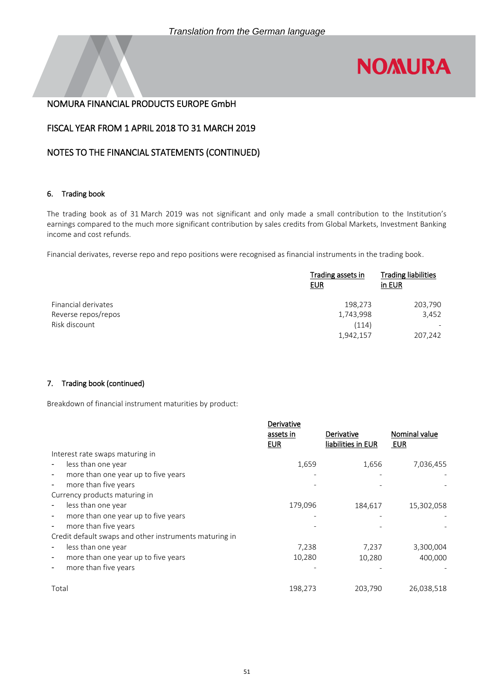## NOMURA FINANCIAL PRODUCTS EUROPE GmbH

## FISCAL YEAR FROM 1 APRIL 2018 TO 31 MARCH 2019

### NOTES TO THE FINANCIAL STATEMENTS (CONTINUED)

#### 6. Trading book

The trading book as of 31 March 2019 was not significant and only made a small contribution to the Institution's earnings compared to the much more significant contribution by sales credits from Global Markets, Investment Banking income and cost refunds.

Financial derivates, reverse repo and repo positions were recognised as financial instruments in the trading book.

|                     | Trading assets in<br><u>EUR</u> | <b>Trading liabilities</b><br>in EUR |
|---------------------|---------------------------------|--------------------------------------|
| Financial derivates | 198,273                         | 203,790                              |
| Reverse repos/repos | 1,743,998                       | 3,452                                |
| Risk discount       | (114)                           | $\qquad \qquad -$                    |
|                     | 1,942,157                       | 207,242                              |

#### 7. Trading book (continued)

Breakdown of financial instrument maturities by product:

|                                                        | Derivative |                    |               |
|--------------------------------------------------------|------------|--------------------|---------------|
|                                                        | assets in  | Derivative         | Nominal value |
|                                                        | <b>EUR</b> | liabilities in EUR | <b>EUR</b>    |
| Interest rate swaps maturing in                        |            |                    |               |
| less than one year                                     | 1,659      | 1,656              | 7,036,455     |
| more than one year up to five years                    |            |                    |               |
| more than five years                                   |            |                    |               |
| Currency products maturing in                          |            |                    |               |
| less than one year                                     | 179,096    | 184,617            | 15,302,058    |
| more than one year up to five years                    |            |                    |               |
| more than five years                                   |            |                    |               |
| Credit default swaps and other instruments maturing in |            |                    |               |
| less than one year                                     | 7,238      | 7,237              | 3,300,004     |
| more than one year up to five years                    | 10,280     | 10,280             | 400,000       |
| more than five years                                   |            |                    |               |
| Total                                                  | 198,273    | 203,790            | 26,038,518    |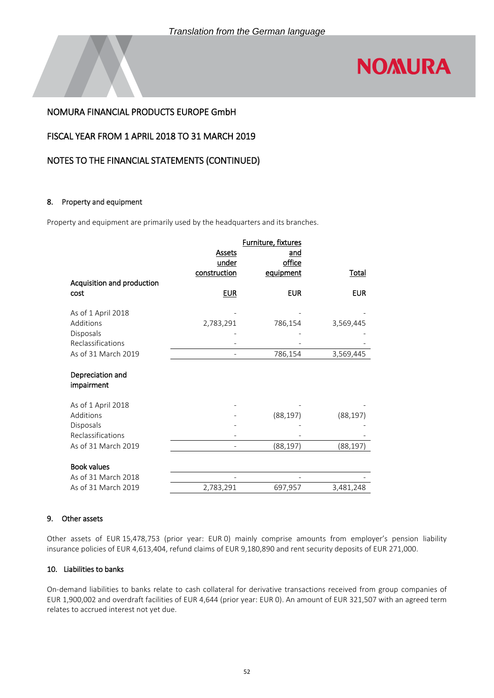## NOMURA FINANCIAL PRODUCTS EUROPE GmbH

## FISCAL YEAR FROM 1 APRIL 2018 TO 31 MARCH 2019

## NOTES TO THE FINANCIAL STATEMENTS (CONTINUED)

#### 8. Property and equipment

I

Property and equipment are primarily used by the headquarters and its branches.

|                                |               | Furniture, fixtures |              |
|--------------------------------|---------------|---------------------|--------------|
|                                | <u>Assets</u> | and                 |              |
|                                | under         | office              |              |
|                                | construction  | equipment           | <b>Total</b> |
| Acquisition and production     |               |                     |              |
| cost                           | <b>EUR</b>    | <b>EUR</b>          | <b>EUR</b>   |
| As of 1 April 2018             |               |                     |              |
| Additions                      | 2,783,291     | 786,154             | 3,569,445    |
| Disposals                      |               |                     |              |
| Reclassifications              |               |                     |              |
| As of 31 March 2019            |               | 786,154             | 3,569,445    |
| Depreciation and<br>impairment |               |                     |              |
| As of 1 April 2018             |               |                     |              |
| Additions                      |               | (88, 197)           | (88, 197)    |
| Disposals                      |               |                     |              |
| Reclassifications              |               |                     |              |
| As of 31 March 2019            |               | (88, 197)           | (88, 197)    |
| <b>Book values</b>             |               |                     |              |
| As of 31 March 2018            |               |                     |              |
| As of 31 March 2019            | 2,783,291     | 697,957             | 3,481,248    |

#### 9. Other assets

Other assets of EUR 15,478,753 (prior year: EUR 0) mainly comprise amounts from employer's pension liability insurance policies of EUR 4,613,404, refund claims of EUR 9,180,890 and rent security deposits of EUR 271,000.

#### 10. Liabilities to banks

On-demand liabilities to banks relate to cash collateral for derivative transactions received from group companies of EUR 1,900,002 and overdraft facilities of EUR 4,644 (prior year: EUR 0). An amount of EUR 321,507 with an agreed term relates to accrued interest not yet due.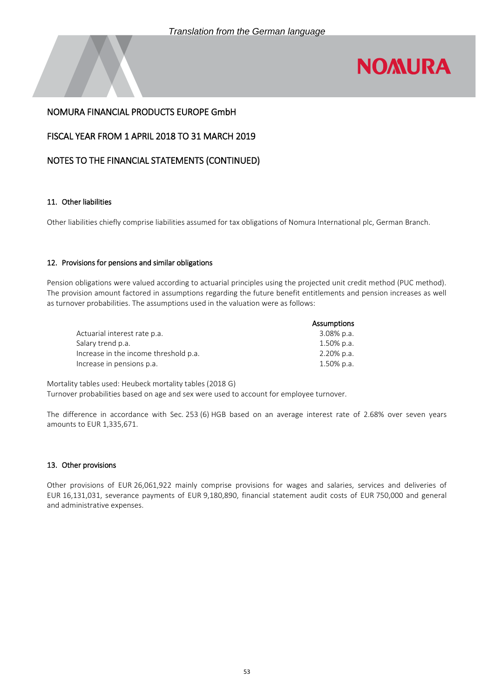#### NOMURA FINANCIAL PRODUCTS EUROPE GmbH

#### FISCAL YEAR FROM 1 APRIL 2018 TO 31 MARCH 2019

#### NOTES TO THE FINANCIAL STATEMENTS (CONTINUED)

#### 11. Other liabilities

I

Other liabilities chiefly comprise liabilities assumed for tax obligations of Nomura International plc, German Branch.

#### 12. Provisions for pensions and similar obligations

Pension obligations were valued according to actuarial principles using the projected unit credit method (PUC method). The provision amount factored in assumptions regarding the future benefit entitlements and pension increases as well as turnover probabilities. The assumptions used in the valuation were as follows:

| Assumptions                           |               |
|---------------------------------------|---------------|
| Actuarial interest rate p.a.          | $3.08\%$ p.a. |
| Salary trend p.a.                     | $1.50\%$ p.a. |
| Increase in the income threshold p.a. | 2.20% p.a.    |
| Increase in pensions p.a.             | $1.50\%$ p.a. |

Mortality tables used: Heubeck mortality tables (2018 G)

Turnover probabilities based on age and sex were used to account for employee turnover.

The difference in accordance with Sec. 253 (6) HGB based on an average interest rate of 2.68% over seven years amounts to EUR 1,335,671.

#### 13. Other provisions

Other provisions of EUR 26,061,922 mainly comprise provisions for wages and salaries, services and deliveries of EUR 16,131,031, severance payments of EUR 9,180,890, financial statement audit costs of EUR 750,000 and general and administrative expenses.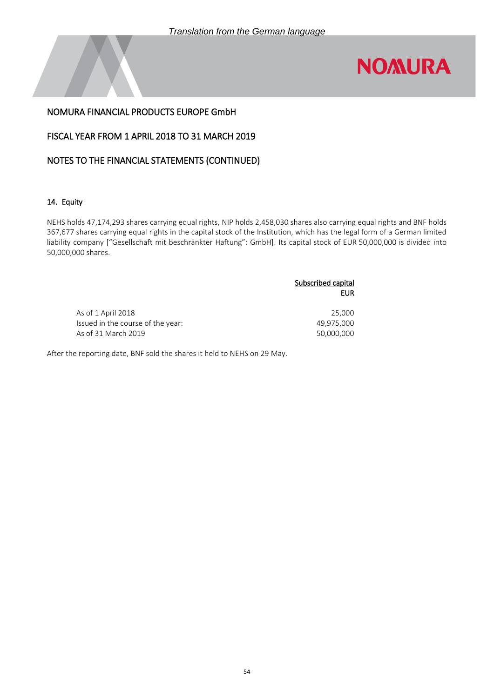### NOMURA FINANCIAL PRODUCTS EUROPE GmbH

## FISCAL YEAR FROM 1 APRIL 2018 TO 31 MARCH 2019

## NOTES TO THE FINANCIAL STATEMENTS (CONTINUED)

#### 14. Equity

I

NEHS holds 47,174,293 shares carrying equal rights, NIP holds 2,458,030 shares also carrying equal rights and BNF holds 367,677 shares carrying equal rights in the capital stock of the Institution, which has the legal form of a German limited liability company ["Gesellschaft mit beschränkter Haftung": GmbH]. Its capital stock of EUR 50,000,000 is divided into 50,000,000 shares.

|                                   | Subscribed capital |
|-----------------------------------|--------------------|
|                                   | EUR                |
| As of 1 April 2018                | 25.000             |
| Issued in the course of the year: | 49.975.000         |
| As of 31 March 2019               | 50,000,000         |

After the reporting date, BNF sold the shares it held to NEHS on 29 May.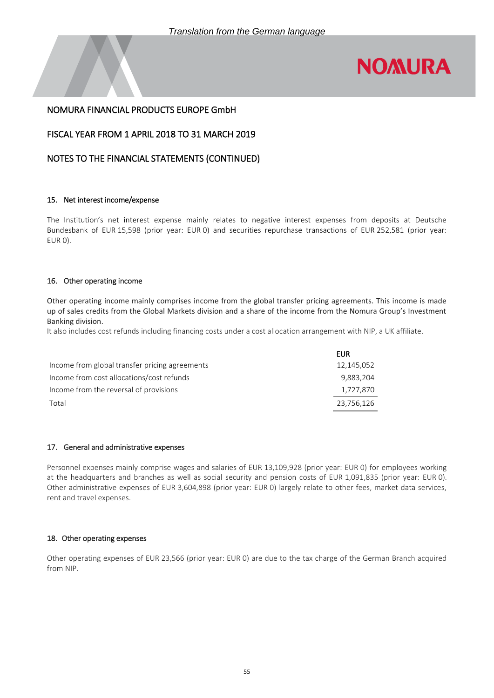#### NOMURA FINANCIAL PRODUCTS EUROPE GmbH

### FISCAL YEAR FROM 1 APRIL 2018 TO 31 MARCH 2019

#### NOTES TO THE FINANCIAL STATEMENTS (CONTINUED)

#### 15. Net interest income/expense

l

The Institution's net interest expense mainly relates to negative interest expenses from deposits at Deutsche Bundesbank of EUR 15,598 (prior year: EUR 0) and securities repurchase transactions of EUR 252,581 (prior year: EUR 0).

#### 16. Other operating income

Other operating income mainly comprises income from the global transfer pricing agreements. This income is made up of sales credits from the Global Markets division and a share of the income from the Nomura Group's Investment Banking division.

It also includes cost refunds including financing costs under a cost allocation arrangement with NIP, a UK affiliate.

|                                                | <b>EUR</b> |
|------------------------------------------------|------------|
| Income from global transfer pricing agreements | 12,145,052 |
| Income from cost allocations/cost refunds      | 9,883,204  |
| Income from the reversal of provisions         | 1,727,870  |
| Total                                          | 23,756,126 |

#### 17. General and administrative expenses

Personnel expenses mainly comprise wages and salaries of EUR 13,109,928 (prior year: EUR 0) for employees working at the headquarters and branches as well as social security and pension costs of EUR 1,091,835 (prior year: EUR 0). Other administrative expenses of EUR 3,604,898 (prior year: EUR 0) largely relate to other fees, market data services, rent and travel expenses.

#### 18. Other operating expenses

Other operating expenses of EUR 23,566 (prior year: EUR 0) are due to the tax charge of the German Branch acquired from NIP.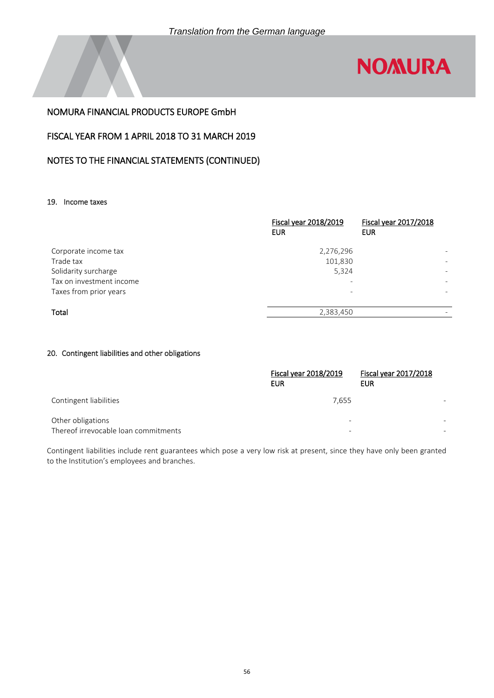# NOMURA FINANCIAL PRODUCTS EUROPE GmbH

#### FISCAL YEAR FROM 1 APRIL 2018 TO 31 MARCH 2019

# NOTES TO THE FINANCIAL STATEMENTS (CONTINUED)

#### 19. Income taxes

I

|                          | Fiscal year 2018/2019<br><b>EUR</b> | <b>Fiscal year 2017/2018</b><br><b>EUR</b> |
|--------------------------|-------------------------------------|--------------------------------------------|
| Corporate income tax     | 2,276,296                           |                                            |
| Trade tax                | 101,830                             |                                            |
| Solidarity surcharge     | 5,324                               |                                            |
| Tax on investment income | -                                   |                                            |
| Taxes from prior years   |                                     |                                            |
| Total                    | 2,383,450                           |                                            |

#### 20. Contingent liabilities and other obligations

|                                                           | Fiscal year 2018/2019<br><b>EUR</b>                  | Fiscal year 2017/2018<br><b>EUR</b> |
|-----------------------------------------------------------|------------------------------------------------------|-------------------------------------|
| Contingent liabilities                                    | 7.655                                                |                                     |
| Other obligations<br>Thereof irrevocable loan commitments | $\overline{\phantom{a}}$<br>$\overline{\phantom{0}}$ |                                     |

Contingent liabilities include rent guarantees which pose a very low risk at present, since they have only been granted to the Institution's employees and branches.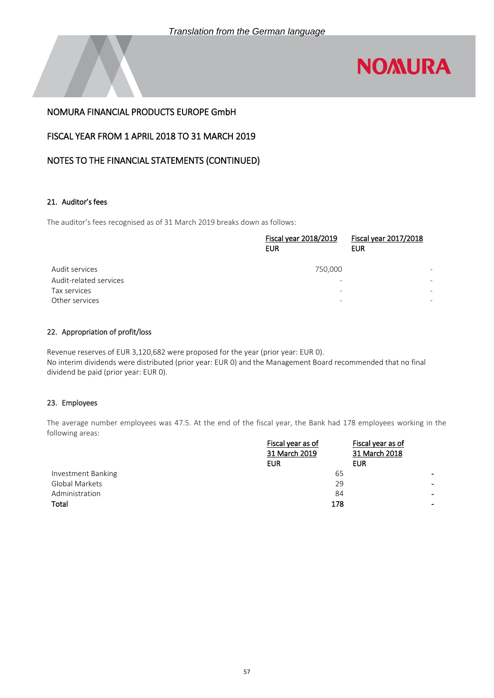## NOMURA FINANCIAL PRODUCTS EUROPE GmbH

## FISCAL YEAR FROM 1 APRIL 2018 TO 31 MARCH 2019

## NOTES TO THE FINANCIAL STATEMENTS (CONTINUED)

#### 21. Auditor's fees

I

The auditor's fees recognised as of 31 March 2019 breaks down as follows:

| Fiscal year 2018/2019<br><b>EUR</b> | Fiscal year 2017/2018<br>EUR |   |
|-------------------------------------|------------------------------|---|
| 750,000                             |                              | ٠ |
| -                                   |                              | ٠ |
| $\overline{\phantom{0}}$            |                              | ٠ |
| -                                   |                              | ٠ |
|                                     |                              |   |

#### 22. Appropriation of profit/loss

Revenue reserves of EUR 3,120,682 were proposed for the year (prior year: EUR 0). No interim dividends were distributed (prior year: EUR 0) and the Management Board recommended that no final dividend be paid (prior year: EUR 0).

#### 23. Employees

The average number employees was 47.5. At the end of the fiscal year, the Bank had 178 employees working in the following areas:

|                    | Fiscal year as of | Fiscal year as of        |
|--------------------|-------------------|--------------------------|
|                    | 31 March 2019     | 31 March 2018            |
|                    | <b>EUR</b>        | <b>EUR</b>               |
| Investment Banking | 65                | -                        |
| Global Markets     | 29                | $\overline{\phantom{0}}$ |
| Administration     | 84                | $\overline{\phantom{0}}$ |
| Total              | 178               | $\blacksquare$           |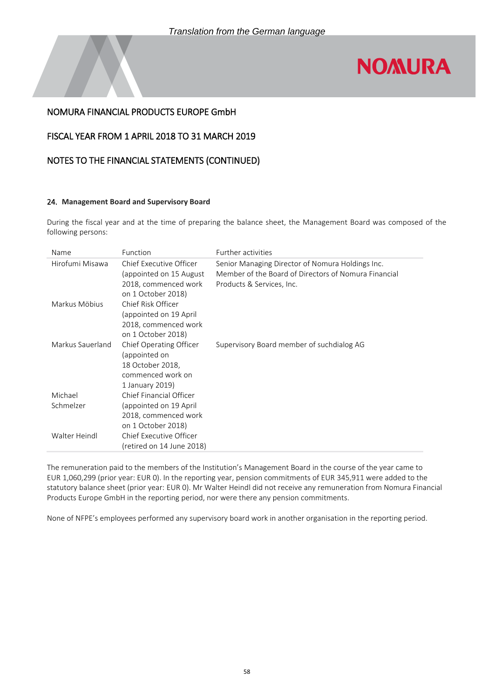### NOMURA FINANCIAL PRODUCTS EUROPE GmbH

I

## FISCAL YEAR FROM 1 APRIL 2018 TO 31 MARCH 2019

## NOTES TO THE FINANCIAL STATEMENTS (CONTINUED)

#### 24. **Management Board and Supervisory Board**

During the fiscal year and at the time of preparing the balance sheet, the Management Board was composed of the following persons:

| Name             | Function                  | Further activities                                   |
|------------------|---------------------------|------------------------------------------------------|
| Hirofumi Misawa  | Chief Executive Officer   | Senior Managing Director of Nomura Holdings Inc.     |
|                  | appointed on 15 August)   | Member of the Board of Directors of Nomura Financial |
|                  | 2018, commenced work      | Products & Services, Inc.                            |
|                  | on 1 October 2018)        |                                                      |
| Markus Möbius    | Chief Risk Officer        |                                                      |
|                  | (appointed on 19 April    |                                                      |
|                  | 2018, commenced work      |                                                      |
|                  | on 1 October 2018)        |                                                      |
| Markus Sauerland | Chief Operating Officer   | Supervisory Board member of suchdialog AG            |
|                  | (appointed on             |                                                      |
|                  | 18 October 2018,          |                                                      |
|                  | commenced work on         |                                                      |
|                  | 1 January 2019)           |                                                      |
| Michael          | Chief Financial Officer   |                                                      |
| Schmelzer        | (appointed on 19 April    |                                                      |
|                  | 2018, commenced work      |                                                      |
|                  | on 1 October 2018)        |                                                      |
| Walter Heindl    | Chief Executive Officer   |                                                      |
|                  | (retired on 14 June 2018) |                                                      |

The remuneration paid to the members of the Institution's Management Board in the course of the year came to EUR 1,060,299 (prior year: EUR 0). In the reporting year, pension commitments of EUR 345,911 were added to the statutory balance sheet (prior year: EUR 0). Mr Walter Heindl did not receive any remuneration from Nomura Financial Products Europe GmbH in the reporting period, nor were there any pension commitments.

None of NFPE's employees performed any supervisory board work in another organisation in the reporting period.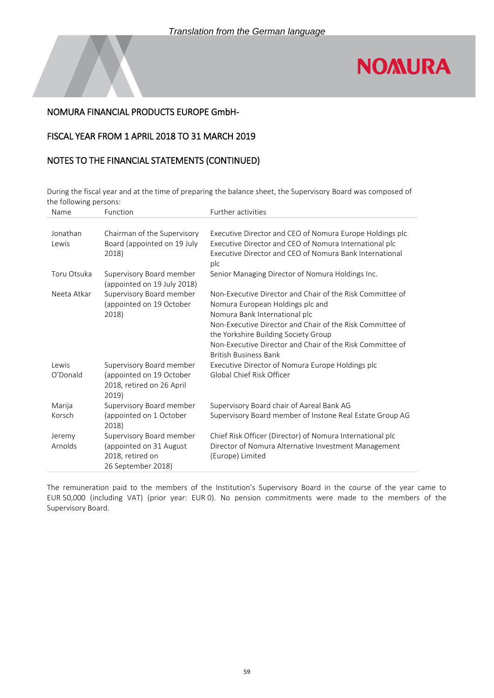## NOMURA FINANCIAL PRODUCTS EUROPE GmbH-

I

## FISCAL YEAR FROM 1 APRIL 2018 TO 31 MARCH 2019

## NOTES TO THE FINANCIAL STATEMENTS (CONTINUED)

During the fiscal year and at the time of preparing the balance sheet, the Supervisory Board was composed of the following persons:

| Name              | Function                                                                                      | <b>Further activities</b>                                                                                                                                                                                                                                                                                                        |
|-------------------|-----------------------------------------------------------------------------------------------|----------------------------------------------------------------------------------------------------------------------------------------------------------------------------------------------------------------------------------------------------------------------------------------------------------------------------------|
|                   |                                                                                               |                                                                                                                                                                                                                                                                                                                                  |
| Jonathan<br>Lewis | Chairman of the Supervisory<br>Board (appointed on 19 July<br>2018)                           | Executive Director and CEO of Nomura Europe Holdings plc<br>Executive Director and CEO of Nomura International plc<br>Executive Director and CEO of Nomura Bank International<br>plc                                                                                                                                             |
| Toru Otsuka       | Supervisory Board member<br>(appointed on 19 July 2018)                                       | Senior Managing Director of Nomura Holdings Inc.                                                                                                                                                                                                                                                                                 |
| Neeta Atkar       | Supervisory Board member<br>(appointed on 19 October<br>2018)                                 | Non-Executive Director and Chair of the Risk Committee of<br>Nomura European Holdings plc and<br>Nomura Bank International plc<br>Non-Executive Director and Chair of the Risk Committee of<br>the Yorkshire Building Society Group<br>Non-Executive Director and Chair of the Risk Committee of<br><b>British Business Bank</b> |
| Lewis<br>O'Donald | Supervisory Board member<br>(appointed on 19 October<br>2018, retired on 26 April<br>2019)    | Executive Director of Nomura Europe Holdings plc<br>Global Chief Risk Officer                                                                                                                                                                                                                                                    |
| Marija<br>Korsch  | Supervisory Board member<br>(appointed on 1 October<br>2018)                                  | Supervisory Board chair of Aareal Bank AG<br>Supervisory Board member of Instone Real Estate Group AG                                                                                                                                                                                                                            |
| Jeremy<br>Arnolds | Supervisory Board member<br>(appointed on 31 August<br>2018, retired on<br>26 September 2018) | Chief Risk Officer (Director) of Nomura International plc<br>Director of Nomura Alternative Investment Management<br>(Europe) Limited                                                                                                                                                                                            |

The remuneration paid to the members of the Institution's Supervisory Board in the course of the year came to EUR 50,000 (including VAT) (prior year: EUR 0). No pension commitments were made to the members of the Supervisory Board.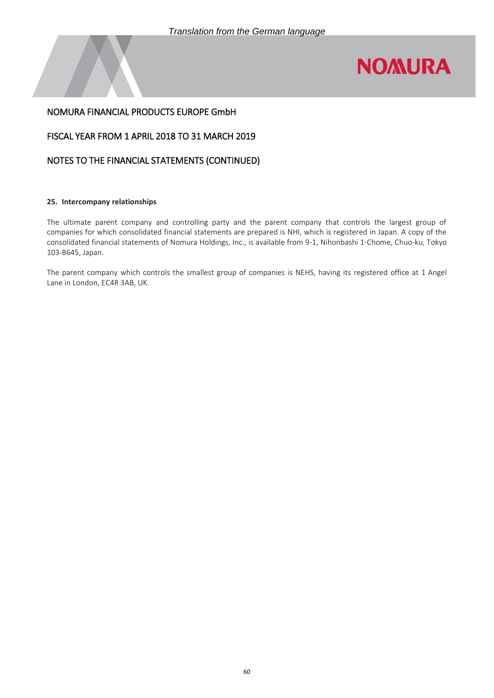### NOMURA FINANCIAL PRODUCTS EUROPE GmbH

## FISCAL YEAR FROM 1 APRIL 2018 TO 31 MARCH 2019

## NOTES TO THE FINANCIAL STATEMENTS (CONTINUED)

#### **25. Intercompany relationships**

I

The ultimate parent company and controlling party and the parent company that controls the largest group of companies for which consolidated financial statements are prepared is NHI, which is registered in Japan. A copy of the consolidated financial statements of Nomura Holdings, Inc., is available from 9-1, Nihonbashi 1-Chome, Chuo-ku, Tokyo 103-8645, Japan.

The parent company which controls the smallest group of companies is NEHS, having its registered office at 1 Angel Lane in London, EC4R 3AB, UK.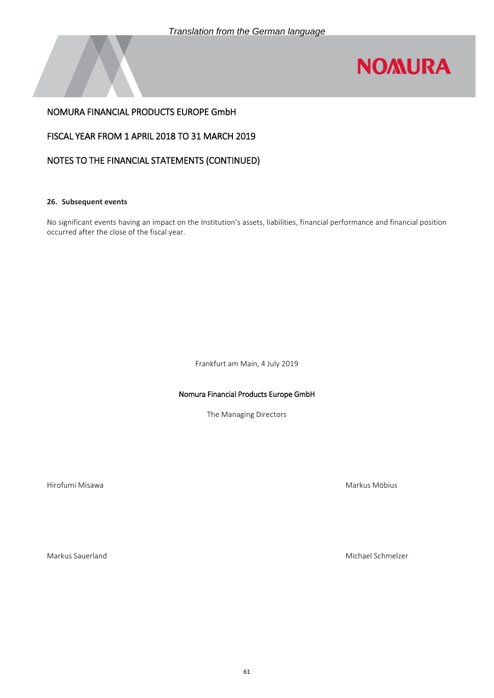## NOMURA FINANCIAL PRODUCTS EUROPE GmbH

## FISCAL YEAR FROM 1 APRIL 2018 TO 31 MARCH 2019

## NOTES TO THE FINANCIAL STATEMENTS (CONTINUED)

#### **26. Subsequent events**

I

No significant events having an impact on the Institution's assets, liabilities, financial performance and financial position occurred after the close of the fiscal year.

Frankfurt am Main, 4 July 2019

#### Nomura Financial Products Europe GmbH

The Managing Directors

Hirofumi Misawa Markus Möbius

Markus Sauerland and Michael Schmelzer and Michael Schmelzer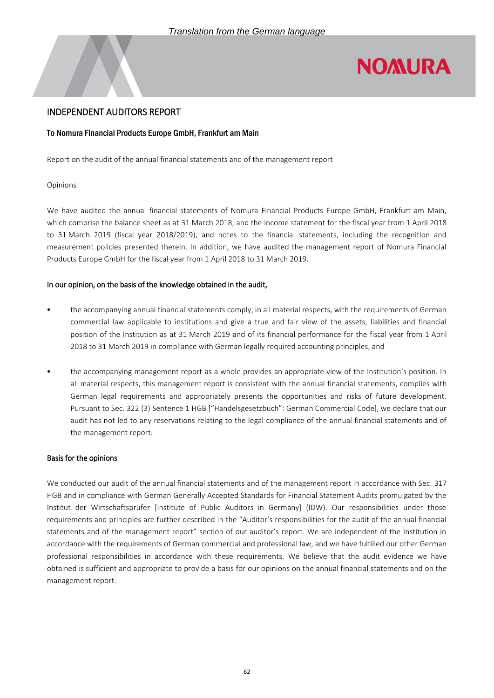#### <span id="page-62-0"></span>INDEPENDENT AUDITORS REPORT

#### To Nomura Financial Products Europe GmbH, Frankfurt am Main

Report on the audit of the annual financial statements and of the management report

#### Opinions

I

We have audited the annual financial statements of Nomura Financial Products Europe GmbH, Frankfurt am Main, which comprise the balance sheet as at 31 March 2018, and the income statement for the fiscal year from 1 April 2018 to 31 March 2019 (fiscal year 2018/2019), and notes to the financial statements, including the recognition and measurement policies presented therein. In addition, we have audited the management report of Nomura Financial Products Europe GmbH for the fiscal year from 1 April 2018 to 31 March 2019.

#### In our opinion, on the basis of the knowledge obtained in the audit,

- the accompanying annual financial statements comply, in all material respects, with the requirements of German commercial law applicable to institutions and give a true and fair view of the assets, liabilities and financial position of the Institution as at 31 March 2019 and of its financial performance for the fiscal year from 1 April 2018 to 31 March 2019 in compliance with German legally required accounting principles, and
- the accompanying management report as a whole provides an appropriate view of the Institution's position. In all material respects, this management report is consistent with the annual financial statements, complies with German legal requirements and appropriately presents the opportunities and risks of future development. Pursuant to Sec. 322 (3) Sentence 1 HGB ["Handelsgesetzbuch": German Commercial Code], we declare that our audit has not led to any reservations relating to the legal compliance of the annual financial statements and of the management report.

#### Basis for the opinions

We conducted our audit of the annual financial statements and of the management report in accordance with Sec. 317 HGB and in compliance with German Generally Accepted Standards for Financial Statement Audits promulgated by the Institut der Wirtschaftsprüfer [Institute of Public Auditors in Germany] (IDW). Our responsibilities under those requirements and principles are further described in the "Auditor's responsibilities for the audit of the annual financial statements and of the management report" section of our auditor's report. We are independent of the Institution in accordance with the requirements of German commercial and professional law, and we have fulfilled our other German professional responsibilities in accordance with these requirements. We believe that the audit evidence we have obtained is sufficient and appropriate to provide a basis for our opinions on the annual financial statements and on the management report.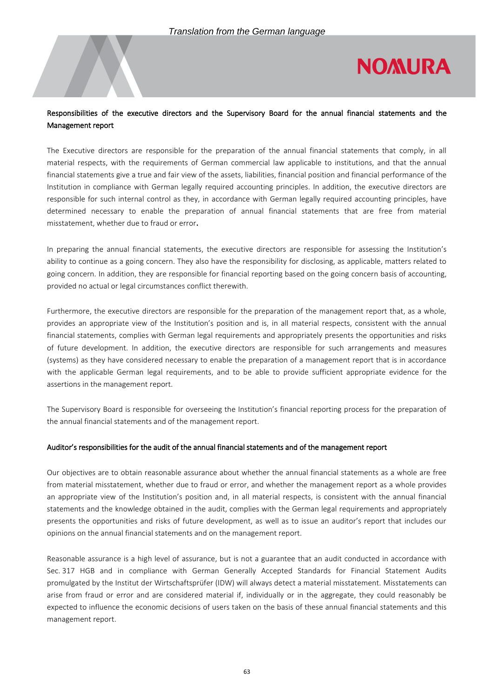#### Responsibilities of the executive directors and the Supervisory Board for the annual financial statements and the Management report

The Executive directors are responsible for the preparation of the annual financial statements that comply, in all material respects, with the requirements of German commercial law applicable to institutions, and that the annual financial statements give a true and fair view of the assets, liabilities, financial position and financial performance of the Institution in compliance with German legally required accounting principles. In addition, the executive directors are responsible for such internal control as they, in accordance with German legally required accounting principles, have determined necessary to enable the preparation of annual financial statements that are free from material misstatement, whether due to fraud or error.

In preparing the annual financial statements, the executive directors are responsible for assessing the Institution's ability to continue as a going concern. They also have the responsibility for disclosing, as applicable, matters related to going concern. In addition, they are responsible for financial reporting based on the going concern basis of accounting, provided no actual or legal circumstances conflict therewith.

Furthermore, the executive directors are responsible for the preparation of the management report that, as a whole, provides an appropriate view of the Institution's position and is, in all material respects, consistent with the annual financial statements, complies with German legal requirements and appropriately presents the opportunities and risks of future development. In addition, the executive directors are responsible for such arrangements and measures (systems) as they have considered necessary to enable the preparation of a management report that is in accordance with the applicable German legal requirements, and to be able to provide sufficient appropriate evidence for the assertions in the management report.

The Supervisory Board is responsible for overseeing the Institution's financial reporting process for the preparation of the annual financial statements and of the management report.

#### Auditor's responsibilities for the audit of the annual financial statements and of the management report

Our objectives are to obtain reasonable assurance about whether the annual financial statements as a whole are free from material misstatement, whether due to fraud or error, and whether the management report as a whole provides an appropriate view of the Institution's position and, in all material respects, is consistent with the annual financial statements and the knowledge obtained in the audit, complies with the German legal requirements and appropriately presents the opportunities and risks of future development, as well as to issue an auditor's report that includes our opinions on the annual financial statements and on the management report.

Reasonable assurance is a high level of assurance, but is not a guarantee that an audit conducted in accordance with Sec. 317 HGB and in compliance with German Generally Accepted Standards for Financial Statement Audits promulgated by the Institut der Wirtschaftsprüfer (IDW) will always detect a material misstatement. Misstatements can arise from fraud or error and are considered material if, individually or in the aggregate, they could reasonably be expected to influence the economic decisions of users taken on the basis of these annual financial statements and this management report.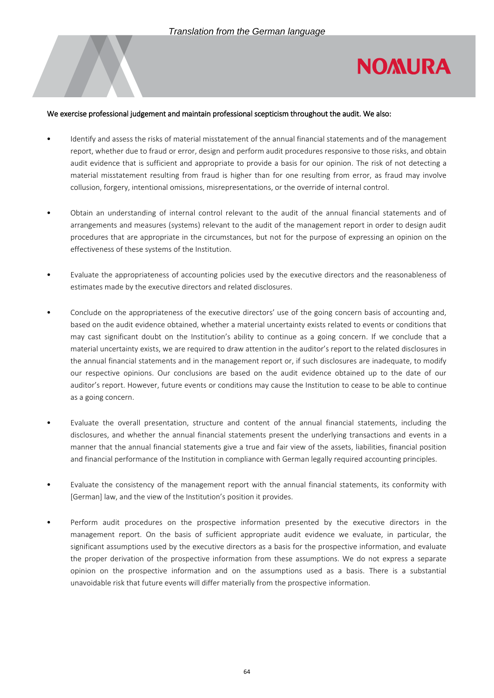#### We exercise professional judgement and maintain professional scepticism throughout the audit. We also:

- Identify and assess the risks of material misstatement of the annual financial statements and of the management report, whether due to fraud or error, design and perform audit procedures responsive to those risks, and obtain audit evidence that is sufficient and appropriate to provide a basis for our opinion. The risk of not detecting a material misstatement resulting from fraud is higher than for one resulting from error, as fraud may involve collusion, forgery, intentional omissions, misrepresentations, or the override of internal control.
- Obtain an understanding of internal control relevant to the audit of the annual financial statements and of arrangements and measures (systems) relevant to the audit of the management report in order to design audit procedures that are appropriate in the circumstances, but not for the purpose of expressing an opinion on the effectiveness of these systems of the Institution.
- Evaluate the appropriateness of accounting policies used by the executive directors and the reasonableness of estimates made by the executive directors and related disclosures.
- Conclude on the appropriateness of the executive directors' use of the going concern basis of accounting and, based on the audit evidence obtained, whether a material uncertainty exists related to events or conditions that may cast significant doubt on the Institution's ability to continue as a going concern. If we conclude that a material uncertainty exists, we are required to draw attention in the auditor's report to the related disclosures in the annual financial statements and in the management report or, if such disclosures are inadequate, to modify our respective opinions. Our conclusions are based on the audit evidence obtained up to the date of our auditor's report. However, future events or conditions may cause the Institution to cease to be able to continue as a going concern.
- Evaluate the overall presentation, structure and content of the annual financial statements, including the disclosures, and whether the annual financial statements present the underlying transactions and events in a manner that the annual financial statements give a true and fair view of the assets, liabilities, financial position and financial performance of the Institution in compliance with German legally required accounting principles.
- Evaluate the consistency of the management report with the annual financial statements, its conformity with [German] law, and the view of the Institution's position it provides.
- Perform audit procedures on the prospective information presented by the executive directors in the management report. On the basis of sufficient appropriate audit evidence we evaluate, in particular, the significant assumptions used by the executive directors as a basis for the prospective information, and evaluate the proper derivation of the prospective information from these assumptions. We do not express a separate opinion on the prospective information and on the assumptions used as a basis. There is a substantial unavoidable risk that future events will differ materially from the prospective information.